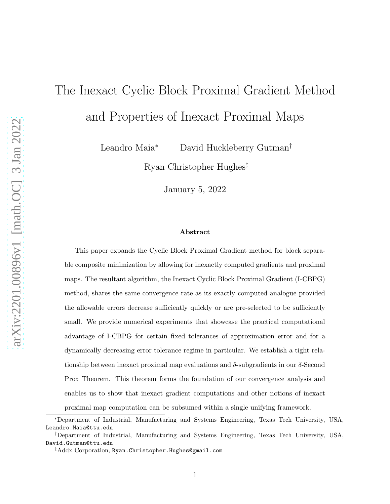# The Inexact Cyclic Block Proximal Gradient Method and Properties of Inexact Proximal Maps

Leandro Maia<sup>∗</sup> David Huckleberry Gutman†

Ryan Christopher Hughes‡

January 5, 2022

#### Abstract

This paper expands the Cyclic Block Proximal Gradient method for block separable composite minimization by allowing for inexactly computed gradients and proximal maps. The resultant algorithm, the Inexact Cyclic Block Proximal Gradient (I-CBPG) method, shares the same convergence rate as its exactly computed analogue provided the allowable errors decrease sufficiently quickly or are pre-selected to be sufficiently small. We provide numerical experiments that showcase the practical computational advantage of I-CBPG for certain fixed tolerances of approximation error and for a dynamically decreasing error tolerance regime in particular. We establish a tight relationship between inexact proximal map evaluations and  $\delta$ -subgradients in our  $\delta$ -Second Prox Theorem. This theorem forms the foundation of our convergence analysis and enables us to show that inexact gradient computations and other notions of inexact proximal map computation can be subsumed within a single unifying framework.

<sup>∗</sup>Department of Industrial, Manufacturing and Systems Engineering, Texas Tech University, USA, Leandro.Maia@ttu.edu

<sup>†</sup>Department of Industrial, Manufacturing and Systems Engineering, Texas Tech University, USA, David.Gutman@ttu.edu

<sup>‡</sup>Addx Corporation, Ryan.Christopher.Hughes@gmail.com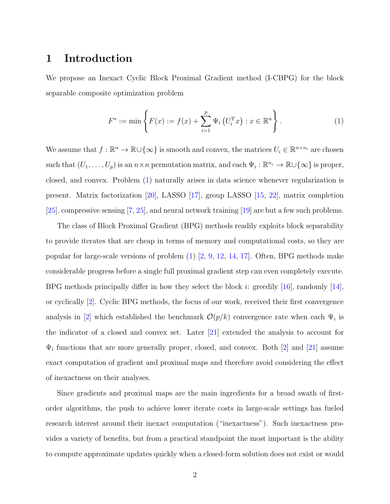## 1 Introduction

We propose an Inexact Cyclic Block Proximal Gradient method (I-CBPG) for the block separable composite optimization problem

<span id="page-1-0"></span>
$$
F^* := \min \left\{ F(x) := f(x) + \sum_{i=1}^p \Psi_i \left( U_i^T x \right) : x \in \mathbb{R}^n \right\}.
$$
 (1)

We assume that  $f : \mathbb{R}^n \to \mathbb{R} \cup \{\infty\}$  is smooth and convex, the matrices  $U_i \in \mathbb{R}^{n \times n_i}$  are chosen such that  $(U_1, \ldots, U_p)$  is an  $n \times n$  permutation matrix, and each  $\Psi_i : \mathbb{R}^{n_i} \to \mathbb{R} \cup \{\infty\}$  is proper, closed, and convex. Problem [\(1\)](#page-1-0) naturally arises in data science whenever regularization is present. Matrix factorization [\[20\]](#page-30-0), LASSO [\[17\]](#page-29-0), group LASSO [\[15,](#page-29-1) [22](#page-30-1)], matrix completion [\[25](#page-30-2)], compressive sensing [\[7,](#page-28-0) [25\]](#page-30-2), and neural network training [\[19\]](#page-30-3) are but a few such problems.

The class of Block Proximal Gradient (BPG) methods readily exploits block separability to provide iterates that are cheap in terms of memory and computational costs, so they are popular for large-scale versions of problem [\(1\)](#page-1-0) [\[2](#page-28-1), [9](#page-28-2), [12,](#page-29-2) [14,](#page-29-3) [17](#page-29-0)]. Often, BPG methods make considerable progress before a single full proximal gradient step can even completely execute. BPG methods principally differ in how they select the block i: greedily [\[16\]](#page-29-4), randomly [\[14\]](#page-29-3), or cyclically [\[2](#page-28-1)]. Cyclic BPG methods, the focus of our work, received their first convergence analysis in [\[2](#page-28-1)] which established the benchmark  $\mathcal{O}(p/k)$  convergence rate when each  $\Psi_i$  is the indicator of a closed and convex set. Later [\[21](#page-30-4)] extended the analysis to account for  $\Psi_i$  functions that are more generally proper, closed, and convex. Both [\[2](#page-28-1)] and [\[21\]](#page-30-4) assume exact computation of gradient and proximal maps and therefore avoid considering the effect of inexactness on their analyses.

Since gradients and proximal maps are the main ingredients for a broad swath of firstorder algorithms, the push to achieve lower iterate costs in large-scale settings has fueled research interest around their inexact computation ("inexactness"). Such inexactness provides a variety of benefits, but from a practical standpoint the most important is the ability to compute approximate updates quickly when a closed-form solution does not exist or would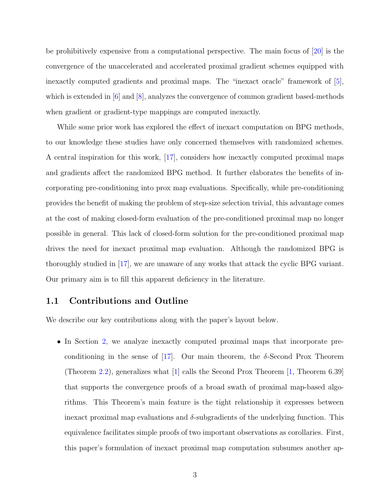be prohibitively expensive from a computational perspective. The main focus of [\[20](#page-30-0)] is the convergence of the unaccelerated and accelerated proximal gradient schemes equipped with inexactly computed gradients and proximal maps. The "inexact oracle" framework of [\[5\]](#page-28-3), which is extended in [\[6\]](#page-28-4) and [\[8\]](#page-28-5), analyzes the convergence of common gradient based-methods when gradient or gradient-type mappings are computed inexactly.

While some prior work has explored the effect of inexact computation on BPG methods, to our knowledge these studies have only concerned themselves with randomized schemes. A central inspiration for this work, [\[17\]](#page-29-0), considers how inexactly computed proximal maps and gradients affect the randomized BPG method. It further elaborates the benefits of incorporating pre-conditioning into prox map evaluations. Specifically, while pre-conditioning provides the benefit of making the problem of step-size selection trivial, this advantage comes at the cost of making closed-form evaluation of the pre-conditioned proximal map no longer possible in general. This lack of closed-form solution for the pre-conditioned proximal map drives the need for inexact proximal map evaluation. Although the randomized BPG is thoroughly studied in [\[17](#page-29-0)], we are unaware of any works that attack the cyclic BPG variant. Our primary aim is to fill this apparent deficiency in the literature.

#### 1.1 Contributions and Outline

We describe our key contributions along with the paper's layout below.

• In Section [2,](#page-3-0) we analyze inexactly computed proximal maps that incorporate pre-conditioning in the sense of [\[17](#page-29-0)]. Our main theorem, the  $\delta$ -Second Prox Theorem (Theorem [2.2\)](#page-6-0), generalizes what [\[1](#page-28-6)] calls the Second Prox Theorem [\[1](#page-28-6), Theorem 6.39] that supports the convergence proofs of a broad swath of proximal map-based algorithms. This Theorem's main feature is the tight relationship it expresses between inexact proximal map evaluations and  $\delta$ -subgradients of the underlying function. This equivalence facilitates simple proofs of two important observations as corollaries. First, this paper's formulation of inexact proximal map computation subsumes another ap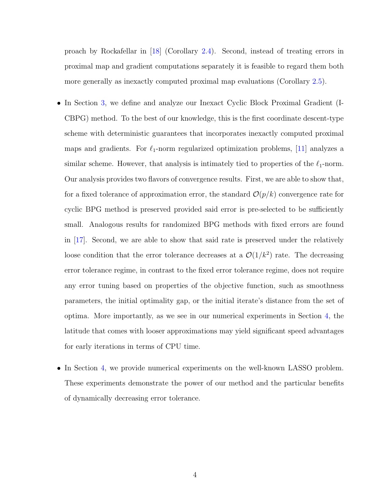proach by Rockafellar in [\[18](#page-29-5)] (Corollary [2.4\)](#page-10-0). Second, instead of treating errors in proximal map and gradient computations separately it is feasible to regard them both more generally as inexactly computed proximal map evaluations (Corollary [2.5\)](#page-11-0).

- In Section [3,](#page-11-1) we define and analyze our Inexact Cyclic Block Proximal Gradient (I-CBPG) method. To the best of our knowledge, this is the first coordinate descent-type scheme with deterministic guarantees that incorporates inexactly computed proximal maps and gradients. For  $\ell_1$ -norm regularized optimization problems, [\[11\]](#page-29-6) analyzes a similar scheme. However, that analysis is intimately tied to properties of the  $\ell_1$ -norm. Our analysis provides two flavors of convergence results. First, we are able to show that, for a fixed tolerance of approximation error, the standard  $\mathcal{O}(p/k)$  convergence rate for cyclic BPG method is preserved provided said error is pre-selected to be sufficiently small. Analogous results for randomized BPG methods with fixed errors are found in [\[17\]](#page-29-0). Second, we are able to show that said rate is preserved under the relatively loose condition that the error tolerance decreases at a  $\mathcal{O}(1/k^2)$  rate. The decreasing error tolerance regime, in contrast to the fixed error tolerance regime, does not require any error tuning based on properties of the objective function, such as smoothness parameters, the initial optimality gap, or the initial iterate's distance from the set of optima. More importantly, as we see in our numerical experiments in Section [4,](#page-22-0) the latitude that comes with looser approximations may yield significant speed advantages for early iterations in terms of CPU time.
- <span id="page-3-0"></span>• In Section [4,](#page-22-0) we provide numerical experiments on the well-known LASSO problem. These experiments demonstrate the power of our method and the particular benefits of dynamically decreasing error tolerance.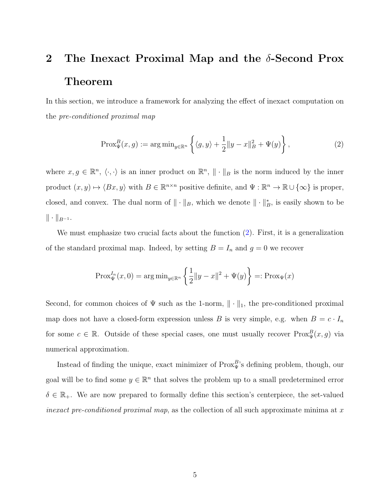## 2 The Inexact Proximal Map and the  $\delta$ -Second Prox Theorem

In this section, we introduce a framework for analyzing the effect of inexact computation on the pre-conditioned proximal map

<span id="page-4-0"></span>
$$
\operatorname{Prox}_{\Psi}^{B}(x, g) := \arg \min_{y \in \mathbb{R}^n} \left\{ \langle g, y \rangle + \frac{1}{2} \| y - x \|_{B}^{2} + \Psi(y) \right\},\tag{2}
$$

where  $x, g \in \mathbb{R}^n$ ,  $\langle \cdot, \cdot \rangle$  is an inner product on  $\mathbb{R}^n$ ,  $\|\cdot\|_B$  is the norm induced by the inner product  $(x, y) \mapsto \langle Bx, y \rangle$  with  $B \in \mathbb{R}^{n \times n}$  positive definite, and  $\Psi : \mathbb{R}^n \to \mathbb{R} \cup \{\infty\}$  is proper, closed, and convex. The dual norm of  $\|\cdot\|_B$ , which we denote  $\|\cdot\|_B^*$ , is easily shown to be  $\|\cdot\|_{B^{-1}}$ .

We must emphasize two crucial facts about the function [\(2\)](#page-4-0). First, it is a generalization of the standard proximal map. Indeed, by setting  $B = I_n$  and  $g = 0$  we recover

$$
Prox_{\Psi}^{I_n}(x,0) = \arg\min_{y \in \mathbb{R}^n} \left\{ \frac{1}{2} ||y - x||^2 + \Psi(y) \right\} =: Prox_{\Psi}(x)
$$

Second, for common choices of  $\Psi$  such as the 1-norm,  $\|\cdot\|_1$ , the pre-conditioned proximal map does not have a closed-form expression unless B is very simple, e.g. when  $B = c \cdot I_n$ for some  $c \in \mathbb{R}$ . Outside of these special cases, one must usually recover  $Prox^B_{\Psi}(x, g)$  via numerical approximation.

Instead of finding the unique, exact minimizer of  $Prox_{\Psi}^{B}$ 's defining problem, though, our goal will be to find some  $y \in \mathbb{R}^n$  that solves the problem up to a small predetermined error  $\delta \in \mathbb{R}_+$ . We are now prepared to formally define this section's centerpiece, the set-valued inexact pre-conditioned proximal map, as the collection of all such approximate minima at x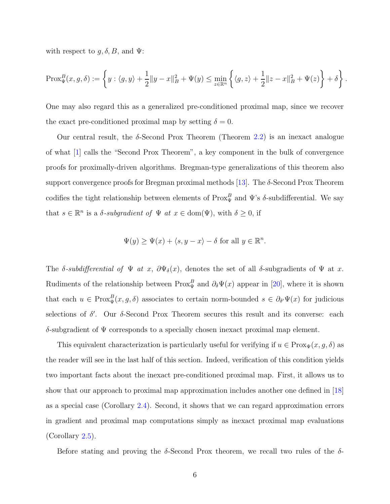with respect to  $g, \delta, B$ , and  $\Psi$ :

$$
\text{Prox}_{\Psi}^{B}(x, g, \delta) := \left\{ y : \langle g, y \rangle + \frac{1}{2} \| y - x \|_{B}^{2} + \Psi(y) \le \min_{z \in \mathbb{R}^{n}} \left\{ \langle g, z \rangle + \frac{1}{2} \| z - x \|_{B}^{2} + \Psi(z) \right\} + \delta \right\}.
$$

One may also regard this as a generalized pre-conditioned proximal map, since we recover the exact pre-conditioned proximal map by setting  $\delta = 0$ .

Our central result, the  $\delta$ -Second Prox Theorem (Theorem [2.2\)](#page-6-0) is an inexact analogue of what [\[1](#page-28-6)] calls the "Second Prox Theorem", a key component in the bulk of convergence proofs for proximally-driven algorithms. Bregman-type generalizations of this theorem also support convergence proofs for Bregman proximal methods [\[13](#page-29-7)]. The  $\delta$ -Second Prox Theorem codifies the tight relationship between elements of  $Prox^B_{\Psi}$  and  $\Psi$ 's  $\delta$ -subdifferential. We say that  $s \in \mathbb{R}^n$  is a  $\delta$ -subgradient of  $\Psi$  at  $x \in \text{dom}(\Psi)$ , with  $\delta \geq 0$ , if

$$
\Psi(y) \ge \Psi(x) + \langle s, y - x \rangle - \delta \text{ for all } y \in \mathbb{R}^n.
$$

The  $\delta$ -subdifferential of  $\Psi$  at x,  $\partial \Psi_{\delta}(x)$ , denotes the set of all  $\delta$ -subgradients of  $\Psi$  at x. Rudiments of the relationship between  $Prox_{\Psi}^B$  and  $\partial_{\delta}\Psi(x)$  appear in [\[20](#page-30-0)], where it is shown that each  $u \in \text{Prox}_{\Psi}^B(x, g, \delta)$  associates to certain norm-bounded  $s \in \partial_{\delta'} \Psi(x)$  for judicious selections of  $\delta'$ . Our  $\delta$ -Second Prox Theorem secures this result and its converse: each δ-subgradient of Ψ corresponds to a specially chosen inexact proximal map element.

This equivalent characterization is particularly useful for verifying if  $u \in \text{Prox}_{\Psi}(x, g, \delta)$  as the reader will see in the last half of this section. Indeed, verification of this condition yields two important facts about the inexact pre-conditioned proximal map. First, it allows us to show that our approach to proximal map approximation includes another one defined in [\[18\]](#page-29-5) as a special case (Corollary [2.4\)](#page-10-0). Second, it shows that we can regard approximation errors in gradient and proximal map computations simply as inexact proximal map evaluations (Corollary [2.5\)](#page-11-0).

Before stating and proving the  $\delta$ -Second Prox theorem, we recall two rules of the  $\delta$ -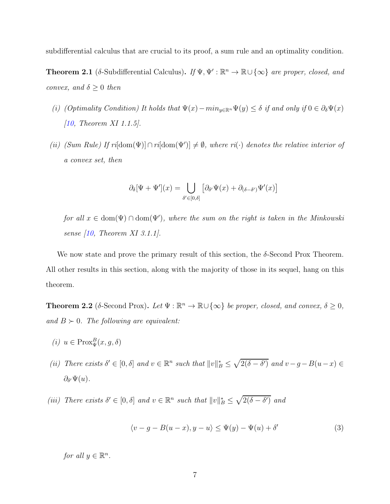subdifferential calculus that are crucial to its proof, a sum rule and an optimality condition.

<span id="page-6-1"></span>**Theorem 2.1** (δ-Subdifferential Calculus). If  $\Psi$ ,  $\Psi' : \mathbb{R}^n \to \mathbb{R} \cup {\infty}$  are proper, closed, and convex, and  $\delta \geq 0$  then

- (i) (Optimality Condition) It holds that  $\Psi(x)-min_{y\in\mathbb{R}^n}\Psi(y)\leq \delta$  if and only if  $0\in\partial_{\delta}\Psi(x)$ [\[10,](#page-29-8) Theorem XI 1.1.5].
- (ii) (Sum Rule) If  $ri[dom(\Psi)] \cap ri[dom(\Psi')] \neq \emptyset$ , where  $ri(\cdot)$  denotes the relative interior of a convex set, then

$$
\partial_{\delta}[\Psi + \Psi'](x) = \bigcup_{\delta' \in [0,\delta]} \left[ \partial_{\delta'} \Psi(x) + \partial_{(\delta - \delta')} \Psi'(x) \right]
$$

for all  $x \in \text{dom}(\Psi) \cap \text{dom}(\Psi')$ , where the sum on the right is taken in the Minkowski sense  $(10,$  Theorem XI 3.1.1.

We now state and prove the primary result of this section, the  $\delta$ -Second Prox Theorem. All other results in this section, along with the majority of those in its sequel, hang on this theorem.

<span id="page-6-0"></span>**Theorem 2.2** ( $\delta$ -Second Prox). Let  $\Psi : \mathbb{R}^n \to \mathbb{R} \cup {\infty}$  be proper, closed, and convex,  $\delta \geq 0$ , and  $B \succ 0$ . The following are equivalent:

- (*i*)  $u \in \text{Prox}_{\Psi}^{B}(x, g, \delta)$
- (ii) There exists  $\delta' \in [0, \delta]$  and  $v \in \mathbb{R}^n$  such that  $||v||_B^* \leq \sqrt{2(\delta \delta')}$  and  $v g B(u x) \in$  $\partial_{\delta'}\Psi(u).$
- (iii) There exists  $\delta' \in [0, \delta]$  and  $v \in \mathbb{R}^n$  such that  $||v||_B^* \leq \sqrt{2(\delta \delta')}$  and

$$
\langle v - g - B(u - x), y - u \rangle \le \Psi(y) - \Psi(u) + \delta'
$$
\n(3)

for all  $y \in \mathbb{R}^n$ .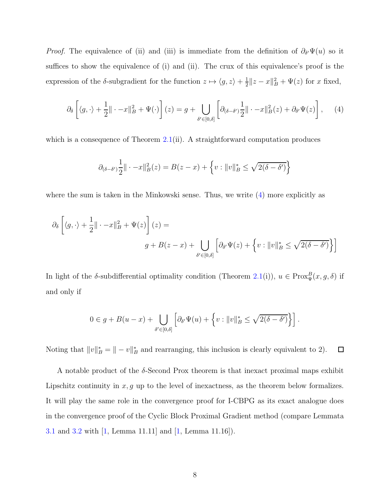*Proof.* The equivalence of (ii) and (iii) is immediate from the definition of  $\partial_{\delta'}\Psi(u)$  so it suffices to show the equivalence of (i) and (ii). The crux of this equivalence's proof is the expression of the  $\delta$ -subgradient for the function  $z \mapsto \langle g, z \rangle + \frac{1}{2}$  $\frac{1}{2}||z - x||_B^2 + \Psi(z)$  for x fixed,

<span id="page-7-0"></span>
$$
\partial_{\delta}\left[\langle g,\cdot\rangle+\frac{1}{2}\|\cdot-x\|_{B}^{2}+\Psi(\cdot)\right](z)=g+\bigcup_{\delta'\in[0,\delta]}\left[\partial_{(\delta-\delta')}\frac{1}{2}\|\cdot-x\|_{B}^{2}(z)+\partial_{\delta'}\Psi(z)\right],\quad(4)
$$

which is a consequence of Theorem  $2.1(ii)$  $2.1(ii)$ . A straightforward computation produces

$$
\partial_{(\delta - \delta')} \frac{1}{2} || \cdot - x ||_B^2(z) = B(z - x) + \left\{ v : ||v||_B^* \le \sqrt{2(\delta - \delta')} \right\}
$$

where the sum is taken in the Minkowski sense. Thus, we write  $(4)$  more explicitly as

$$
\partial_{\delta} \left[ \langle g, \cdot \rangle + \frac{1}{2} || \cdot -x ||_{B}^{2} + \Psi(z) \right] (z) =
$$
  

$$
g + B(z - x) + \bigcup_{\delta' \in [0, \delta]} \left[ \partial_{\delta'} \Psi(z) + \left\{ v : ||v||_{B}^{*} \leq \sqrt{2(\delta - \delta')} \right\} \right]
$$

In light of the  $\delta$ -subdifferential optimality condition (Theorem [2.1\(](#page-6-1)i)),  $u \in \text{Prox}_{\Psi}^B(x, g, \delta)$  if and only if

$$
0 \in g + B(u - x) + \bigcup_{\delta' \in [0,\delta]} \left[ \partial_{\delta'} \Psi(u) + \left\{ v : ||v||_B^* \le \sqrt{2(\delta - \delta')} \right\} \right].
$$

Noting that  $||v||_B^* = || - v||_B^*$  and rearranging, this inclusion is clearly equivalent to 2).  $\Box$ 

A notable product of the  $\delta$ -Second Prox theorem is that inexact proximal maps exhibit Lipschitz continuity in  $x, g$  up to the level of inexactness, as the theorem below formalizes. It will play the same role in the convergence proof for I-CBPG as its exact analogue does in the convergence proof of the Cyclic Block Proximal Gradient method (compare Lemmata [3.1](#page-14-0) and [3.2](#page-16-0) with  $\vert 1$ , Lemma 11.11 and  $\vert 1$ , Lemma 11.16.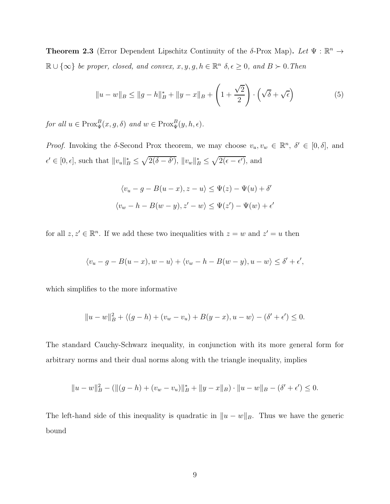<span id="page-8-1"></span>**Theorem 2.3** (Error Dependent Lipschitz Continuity of the δ-Prox Map). Let  $\Psi : \mathbb{R}^n \to$  $\mathbb{R} \cup \{\infty\}$  be proper, closed, and convex,  $x, y, g, h \in \mathbb{R}^n$   $\delta, \epsilon \geq 0$ , and  $B \succ 0$ . Then

<span id="page-8-0"></span>
$$
||u - w||_B \le ||g - h||_B^* + ||y - x||_B + \left(1 + \frac{\sqrt{2}}{2}\right) \cdot \left(\sqrt{\delta} + \sqrt{\epsilon}\right)
$$
(5)

for all  $u \in \text{Prox}_{\Psi}^B(x, g, \delta)$  and  $w \in \text{Prox}_{\Psi}^B(y, h, \epsilon)$ .

Proof. Invoking the  $\delta$ -Second Prox theorem, we may choose  $v_u, v_w \in \mathbb{R}^n$ ,  $\delta' \in [0, \delta]$ , and  $\epsilon' \in [0, \epsilon],$  such that  $||v_u||_B^* \leq \sqrt{2(\delta - \delta')}$ ,  $||v_w||_B^* \leq \sqrt{2(\epsilon - \epsilon')}$ , and

$$
\langle v_u - g - B(u - x), z - u \rangle \le \Psi(z) - \Psi(u) + \delta'
$$
  

$$
\langle v_w - h - B(w - y), z' - w \rangle \le \Psi(z') - \Psi(w) + \epsilon'
$$

for all  $z, z' \in \mathbb{R}^n$ . If we add these two inequalities with  $z = w$  and  $z' = u$  then

$$
\langle v_u - g - B(u - x), w - u \rangle + \langle v_w - h - B(w - y), u - w \rangle \le \delta' + \epsilon',
$$

which simplifies to the more informative

$$
||u - w||_B^2 + \langle (g - h) + (v_w - v_u) + B(y - x), u - w \rangle - (\delta' + \epsilon') \le 0.
$$

The standard Cauchy-Schwarz inequality, in conjunction with its more general form for arbitrary norms and their dual norms along with the triangle inequality, implies

$$
||u - w||_B2 - (||(g - h) + (v_w - v_u)||_B* + ||y - x||_B) \cdot ||u - w||_B - (\delta' + \epsilon') \leq 0.
$$

The left-hand side of this inequality is quadratic in  $||u - w||_B$ . Thus we have the generic bound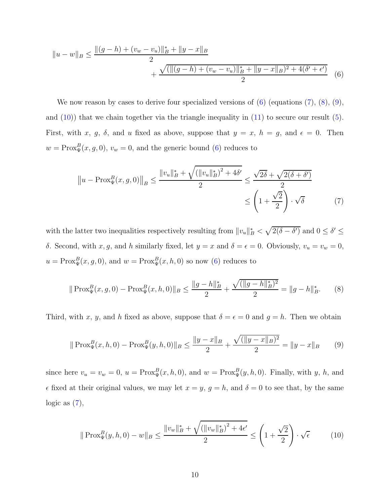$$
||u - w||_B \le \frac{||(g - h) + (v_w - v_u)||_B^* + ||y - x||_B}{2} + \frac{\sqrt{(||(g - h) + (v_w - v_u)||_B^* + ||y - x||_B)^2 + 4(\delta' + \epsilon')}}{2}
$$
(6)

We now reason by cases to derive four specialized versions of  $(6)$  (equations  $(7)$ ,  $(8)$ ,  $(9)$ , and  $(10)$ ) that we chain together via the triangle inequality in  $(11)$  to secure our result  $(5)$ . First, with x, g,  $\delta$ , and u fixed as above, suppose that  $y = x$ ,  $h = g$ , and  $\epsilon = 0$ . Then  $w = \text{Prox}_{\Psi}^{B}(x, g, 0), v_{w} = 0$ , and the generic bound [\(6\)](#page-9-0) reduces to

<span id="page-9-1"></span><span id="page-9-0"></span>
$$
||u - \text{Prox}_{\Psi}^{B}(x, g, 0)||_{B} \le \frac{||v_{u}||_{B}^{*} + \sqrt{(||v_{u}||_{B}^{*})^{2} + 4\delta'}}{2} \le \frac{\sqrt{2\delta} + \sqrt{2(\delta + \delta')}}{2}
$$
  
\$\le \left(1 + \frac{\sqrt{2}}{2}\right) \cdot \sqrt{\delta}\$ (7)

with the latter two inequalities respectively resulting from  $||v_u||_B^* < \sqrt{2(\delta - \delta')}$  and  $0 \le \delta' \le \delta'$ δ. Second, with  $x, g$ , and h similarly fixed, let  $y = x$  and  $δ = ε = 0$ . Obviously,  $v<sub>u</sub> = v<sub>w</sub> = 0$ ,  $u = \text{Prox}_{\Psi}^{B}(x, g, 0),$  and  $w = \text{Prox}_{\Psi}^{B}(x, h, 0)$  so now [\(6\)](#page-9-0) reduces to

<span id="page-9-2"></span>
$$
\|\operatorname{Prox}_{\Psi}^{B}(x,g,0) - \operatorname{Prox}_{\Psi}^{B}(x,h,0)\|_{B} \le \frac{\|g-h\|_{B}^{*}}{2} + \frac{\sqrt{(\|g-h\|_{B}^{*})^{2}}}{2} = \|g-h\|_{B}^{*}.
$$
 (8)

Third, with x, y, and h fixed as above, suppose that  $\delta = \epsilon = 0$  and  $g = h$ . Then we obtain

<span id="page-9-3"></span>
$$
\|\operatorname{Prox}_{\Psi}^{B}(x,h,0) - \operatorname{Prox}_{\Psi}^{B}(y,h,0)\|_{B} \le \frac{\|y-x\|_{B}}{2} + \frac{\sqrt{(\|y-x\|_{B})^{2}}}{2} = \|y-x\|_{B}
$$
(9)

since here  $v_u = v_w = 0$ ,  $u = \text{Prox}_{\Psi}^B(x, h, 0)$ , and  $w = \text{Prox}_{\Psi}^B(y, h, 0)$ . Finally, with y, h, and  $\epsilon$  fixed at their original values, we may let  $x = y$ ,  $g = h$ , and  $\delta = 0$  to see that, by the same logic as  $(7)$ ,

<span id="page-9-4"></span>
$$
\|\operatorname{Prox}_{\Psi}^{B}(y,h,0) - w\|_{B} \le \frac{\|v_{w}\|_{B}^{*} + \sqrt{(\|v_{w}\|_{B}^{*})^{2} + 4\epsilon'}}{2} \le \left(1 + \frac{\sqrt{2}}{2}\right) \cdot \sqrt{\epsilon}
$$
(10)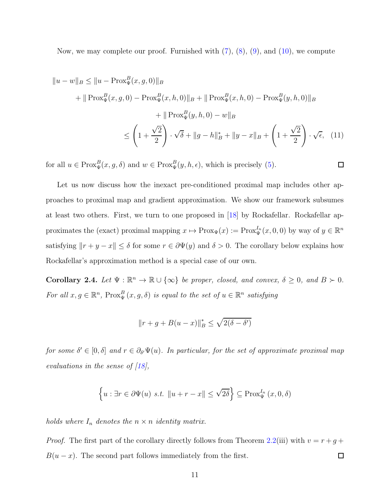Now, we may complete our proof. Furnished with [\(7\)](#page-9-1), [\(8\)](#page-9-2), [\(9\)](#page-9-3), and [\(10\)](#page-9-4), we compute

$$
||u - w||_B \le ||u - \text{Prox}_{\Psi}^{B}(x, g, 0)||_B
$$
  
+  $||\text{Prox}_{\Psi}^{B}(x, g, 0) - \text{Prox}_{\Psi}^{B}(x, h, 0)||_B + ||\text{Prox}_{\Psi}^{B}(x, h, 0) - \text{Prox}_{\Psi}^{B}(y, h, 0)||_B$   
+  $||\text{Prox}_{\Psi}^{B}(y, h, 0) - w||_B$   
 $\leq \left(1 + \frac{\sqrt{2}}{2}\right) \cdot \sqrt{6} + ||g - h||_B^* + ||y - x||_B + \left(1 + \frac{\sqrt{2}}{2}\right) \cdot \sqrt{\epsilon},$  (11)

<span id="page-10-1"></span> $\Box$ 

for all  $u \in \text{Prox}_{\Psi}^{B}(x, g, \delta)$  and  $w \in \text{Prox}_{\Psi}^{B}(y, h, \epsilon)$ , which is precisely [\(5\)](#page-8-0).

Let us now discuss how the inexact pre-conditioned proximal map includes other approaches to proximal map and gradient approximation. We show our framework subsumes at least two others. First, we turn to one proposed in [\[18\]](#page-29-5) by Rockafellar. Rockafellar approximates the (exact) proximal mapping  $x \mapsto \text{Prox}_{\Psi}(x) := \text{Prox}_{\Psi}^{I_n}(x, 0, 0)$  by way of  $y \in \mathbb{R}^n$ satisfying  $||r + y - x|| \le \delta$  for some  $r \in \partial \Psi(y)$  and  $\delta > 0$ . The corollary below explains how Rockafellar's approximation method is a special case of our own.

<span id="page-10-0"></span>**Corollary 2.4.** Let  $\Psi : \mathbb{R}^n \to \mathbb{R} \cup {\infty}$  be proper, closed, and convex,  $\delta \geq 0$ , and  $B \succ 0$ . For all  $x, g \in \mathbb{R}^n$ ,  $Prox_{\Psi}^B(x, g, \delta)$  is equal to the set of  $u \in \mathbb{R}^n$  satisfying

$$
||r + g + B(u - x)||_B^* \le \sqrt{2(\delta - \delta')}
$$

for some  $\delta' \in [0, \delta]$  and  $r \in \partial_{\delta'} \Psi(u)$ . In particular, for the set of approximate proximal map evaluations in the sense of [\[18](#page-29-5)],

$$
\left\{ u : \exists r \in \partial \Psi(u) \ s.t. \ \left\| u + r - x \right\| \leq \sqrt{2\delta} \right\} \subseteq \text{Prox}_{\Psi}^{I_n}(x, 0, \delta)
$$

holds where  $I_n$  denotes the  $n \times n$  identity matrix.

*Proof.* The first part of the corollary directly follows from Theorem [2.2\(](#page-6-0)iii) with  $v = r + g +$  $B(u - x)$ . The second part follows immediately from the first.  $\Box$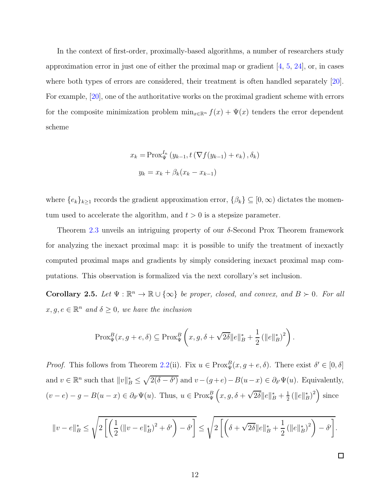In the context of first-order, proximally-based algorithms, a number of researchers study approximation error in just one of either the proximal map or gradient  $[4, 5, 24]$  $[4, 5, 24]$  $[4, 5, 24]$  $[4, 5, 24]$ , or, in cases where both types of errors are considered, their treatment is often handled separately [\[20\]](#page-30-0). For example, [\[20](#page-30-0)], one of the authoritative works on the proximal gradient scheme with errors for the composite minimization problem  $\min_{x \in \mathbb{R}^n} f(x) + \Psi(x)$  tenders the error dependent scheme

$$
x_k = \text{Prox}_{\Psi}^{I_n} (y_{k-1}, t(\nabla f(y_{k-1}) + e_k), \delta_k)
$$

$$
y_k = x_k + \beta_k (x_k - x_{k-1})
$$

where  $\{e_k\}_{k\geq 1}$  records the gradient approximation error,  $\{\beta_k\} \subseteq [0,\infty)$  dictates the momentum used to accelerate the algorithm, and  $t > 0$  is a stepsize parameter.

Theorem [2.3](#page-8-1) unveils an intriguing property of our  $\delta$ -Second Prox Theorem framework for analyzing the inexact proximal map: it is possible to unify the treatment of inexactly computed proximal maps and gradients by simply considering inexact proximal map computations. This observation is formalized via the next corollary's set inclusion.

<span id="page-11-0"></span>**Corollary 2.5.** Let  $\Psi : \mathbb{R}^n \to \mathbb{R} \cup {\infty}$  be proper, closed, and convex, and  $B \succ 0$ . For all  $x, g, e \in \mathbb{R}^n$  and  $\delta \geq 0$ , we have the inclusion

$$
\text{Prox}_{\Psi}^{B}(x, g+e, \delta) \subseteq \text{Prox}_{\Psi}^{B}\left(x, g, \delta+\sqrt{2\delta}\|e\|_{B}^{*}+\frac{1}{2}\left(\|e\|_{B}^{*}\right)^{2}\right).
$$

*Proof.* This follows from Theorem [2.2\(](#page-6-0)ii). Fix  $u \in \text{Prox}_{\Psi}^B(x, g + e, \delta)$ . There exist  $\delta' \in [0, \delta]$ and  $v \in \mathbb{R}^n$  such that  $||v||_B^* \leq \sqrt{2(\delta - \delta')}$  and  $v - (g + e) - B(u - x) \in \partial_{\delta'} \Psi(u)$ . Equivalently,  $(v - e) - g - B(u - x) \in \partial_{\delta'} \Psi(u)$ . Thus,  $u \in \text{Prox}_{\Psi}^B\left(x, g, \delta + \sqrt{2\delta} \|e\|_B^* + \frac{1}{2}\right)$  $\frac{1}{2}$  ( $||e||_B^*\rangle^2$ ) since

<span id="page-11-1"></span>
$$
||v - e||_B^* \le \sqrt{2\left[\left(\frac{1}{2}\left(||v - e||_B^*)^2 + \delta'\right) - \delta'\right]} \le \sqrt{2\left[\left(\delta + \sqrt{2\delta}||e||_B^* + \frac{1}{2}\left(\|e\|_B^*\right)^2\right) - \delta'\right]}.
$$

 $\Box$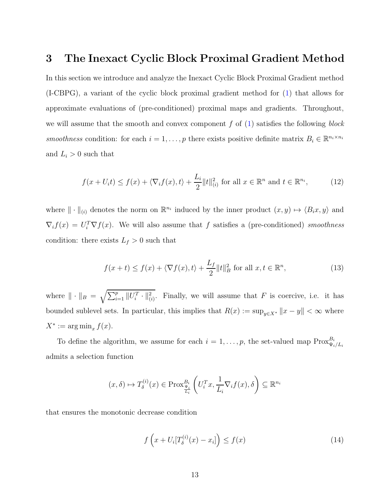## 3 The Inexact Cyclic Block Proximal Gradient Method

In this section we introduce and analyze the Inexact Cyclic Block Proximal Gradient method (I-CBPG), a variant of the cyclic block proximal gradient method for [\(1\)](#page-1-0) that allows for approximate evaluations of (pre-conditioned) proximal maps and gradients. Throughout, we will assume that the smooth and convex component f of  $(1)$  satisfies the following block smoothness condition: for each  $i = 1, ..., p$  there exists positive definite matrix  $B_i \in \mathbb{R}^{n_i \times n_i}$ and  $L_i > 0$  such that

<span id="page-12-0"></span>
$$
f(x + U_i t) \le f(x) + \langle \nabla_i f(x), t \rangle + \frac{L_i}{2} ||t||_{(i)}^2 \text{ for all } x \in \mathbb{R}^n \text{ and } t \in \mathbb{R}^{n_i},\tag{12}
$$

where  $\|\cdot\|_{(i)}$  denotes the norm on  $\mathbb{R}^{n_i}$  induced by the inner product  $(x, y) \mapsto \langle B_i x, y \rangle$  and  $\nabla_i f(x) = U_i^T \nabla f(x)$ . We will also assume that f satisfies a (pre-conditioned) smoothness condition: there exists  $L_f > 0$  such that

<span id="page-12-1"></span>
$$
f(x+t) \le f(x) + \langle \nabla f(x), t \rangle + \frac{L_f}{2} ||t||_B^2 \text{ for all } x, t \in \mathbb{R}^n,
$$
 (13)

where  $\|\cdot\|_B = \sqrt{\sum_{i=1}^p ||U_i^T \cdot||_{(i)}^2}$ . Finally, we will assume that F is coercive, i.e. it has bounded sublevel sets. In particular, this implies that  $R(x) := \sup_{y \in X^*} ||x - y|| < \infty$  where  $X^* := \arg \min_x f(x).$ 

To define the algorithm, we assume for each  $i = 1, \ldots, p$ , the set-valued map  $\text{Prox}_{\Psi_i/L_i}^{B_i}$ admits a selection function

$$
(x,\delta) \mapsto T_{\delta}^{(i)}(x) \in \operatorname{Prox}_{\frac{\Psi_i}{L_i}}^{B_i} \left( U_i^T x, \frac{1}{L_i} \nabla_i f(x), \delta \right) \subseteq \mathbb{R}^{n_i}
$$

that ensures the monotonic decrease condition

<span id="page-12-2"></span>
$$
f\left(x + U_i[T_\delta^{(i)}(x) - x_i]\right) \le f(x) \tag{14}
$$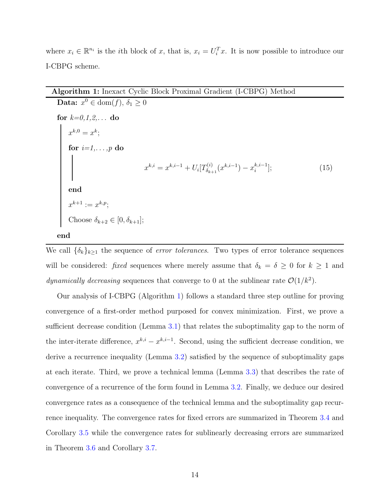where  $x_i \in \mathbb{R}^{n_i}$  is the *i*th block of x, that is,  $x_i = U_i^T x$ . It is now possible to introduce our I-CBPG scheme.

### <span id="page-13-0"></span>Algorithm 1: Inexact Cyclic Block Proximal Gradient (I-CBPG) Method

**Data:**  $x^0 \in \text{dom}(f), \delta_1 \ge 0$ for  $k=0,1,2,...$  do  $x^{k,0}=x^k;$ for  $i=1,\ldots,p$  do  $x^{k,i} = x^{k,i-1} + U_i[T_{\delta_{k+1}}^{(i)}]$  $\delta_{k+1}^{(i)}(x^{k,i-1}) - x_i^{k,i-1}$  $(15)$ end  $x^{k+1} := x^{k,p};$ Choose  $\delta_{k+2} \in [0, \delta_{k+1}]$ ;

```
end
```
We call  $\{\delta_k\}_{k\geq 1}$  the sequence of *error tolerances*. Two types of error tolerance sequences will be considered: fixed sequences where merely assume that  $\delta_k = \delta \geq 0$  for  $k \geq 1$  and dynamically decreasing sequences that converge to 0 at the sublinear rate  $\mathcal{O}(1/k^2)$ .

Our analysis of I-CBPG (Algorithm [1\)](#page-13-0) follows a standard three step outline for proving convergence of a first-order method purposed for convex minimization. First, we prove a sufficient decrease condition (Lemma [3.1\)](#page-14-0) that relates the suboptimality gap to the norm of the inter-iterate difference,  $x^{k,i} - x^{k,i-1}$ . Second, using the sufficient decrease condition, we derive a recurrence inequality (Lemma [3.2\)](#page-16-0) satisfied by the sequence of suboptimality gaps at each iterate. Third, we prove a technical lemma (Lemma [3.3\)](#page-19-0) that describes the rate of convergence of a recurrence of the form found in Lemma [3.2.](#page-16-0) Finally, we deduce our desired convergence rates as a consequence of the technical lemma and the suboptimality gap recurrence inequality. The convergence rates for fixed errors are summarized in Theorem [3.4](#page-20-0) and Corollary [3.5](#page-20-1) while the convergence rates for sublinearly decreasing errors are summarized in Theorem [3.6](#page-21-0) and Corollary [3.7.](#page-22-1)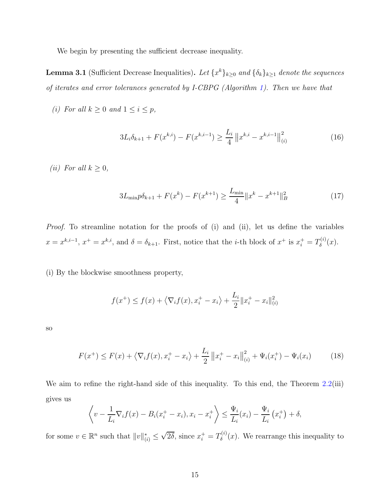We begin by presenting the sufficient decrease inequality.

<span id="page-14-0"></span>**Lemma 3.1** (Sufficient Decrease Inequalities). Let  $\{x^k\}_{k\geq 0}$  and  $\{\delta_k\}_{k\geq 1}$  denote the sequences of iterates and error tolerances generated by I-CBPG (Algorithm [1\)](#page-13-0). Then we have that

(i) For all  $k \geq 0$  and  $1 \leq i \leq p$ ,

<span id="page-14-2"></span>
$$
3L_i \delta_{k+1} + F(x^{k,i}) - F(x^{k,i-1}) \ge \frac{L_i}{4} ||x^{k,i} - x^{k,i-1}||_{(i)}^2
$$
\n(16)

(*ii*) For all  $k \geq 0$ ,

$$
3L_{\min}p\delta_{k+1} + F(x^k) - F(x^{k+1}) \ge \frac{L_{\min}}{4} \|x^k - x^{k+1}\|_B^2 \tag{17}
$$

Proof. To streamline notation for the proofs of (i) and (ii), let us define the variables  $x = x^{k,i-1}, x^+ = x^{k,i}$ , and  $\delta = \delta_{k+1}$ . First, notice that the *i*-th block of  $x^+$  is  $x_i^+ = T_{\delta}^{(i)}$  $\delta^{(i)}(x).$ 

(i) By the blockwise smoothness property,

<span id="page-14-1"></span>
$$
f(x^{+}) \le f(x) + \langle \nabla_i f(x), x_i^{+} - x_i \rangle + \frac{L_i}{2} ||x_i^{+} - x_i||_{(i)}^2
$$

so

$$
F(x^{+}) \leq F(x) + \left\langle \nabla_i f(x), x_i^{+} - x_i \right\rangle + \frac{L_i}{2} \left\| x_i^{+} - x_i \right\|_{(i)}^2 + \Psi_i(x_i^{+}) - \Psi_i(x_i)
$$
(18)

We aim to refine the right-hand side of this inequality. To this end, the Theorem [2.2\(](#page-6-0)iii) gives us

$$
\left\langle v - \frac{1}{L_i} \nabla_i f(x) - B_i(x_i^+ - x_i), x_i - x_i^+ \right\rangle \leq \frac{\Psi_i}{L_i}(x_i) - \frac{\Psi_i}{L_i}(x_i^+) + \delta,
$$

for some  $v \in \mathbb{R}^n$  such that  $||v||_{(i)}^* \leq$  $\sqrt{2\delta}$ , since  $x_i^+ = T_\delta^{(i)}$  $\delta^{(i)}(x)$ . We rearrange this inequality to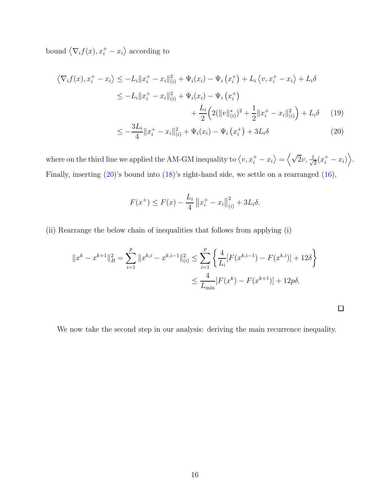bound  $\langle \nabla_i f(x), x_i^+ - x_i \rangle$  according to

$$
\langle \nabla_i f(x), x_i^+ - x_i \rangle \le -L_i \|x_i^+ - x_i\|_{(i)}^2 + \Psi_i(x_i) - \Psi_i(x_i^+) + L_i \langle v, x_i^+ - x_i \rangle + L_i \delta
$$
  
\n
$$
\le -L_i \|x_i^+ - x_i\|_{(i)}^2 + \Psi_i(x_i) - \Psi_i(x_i^+)
$$
  
\n
$$
+ \frac{L_i}{2} \Big( 2(\|v\|_{(i)}^*)^2 + \frac{1}{2} \|x_i^+ - x_i\|_{(i)}^2 \Big) + L_i \delta \qquad (19)
$$
  
\n
$$
\le -\frac{3L_i}{4} \|x_i^+ - x_i\|_{(i)}^2 + \Psi_i(x_i) - \Psi_i(x_i^+) + 3L_i \delta \qquad (20)
$$

where on the third line we applied the AM-GM inequality to  $\langle v, x_i^+ - x_i \rangle = \langle \sqrt{2}v, \frac{1}{\sqrt{2}}v \rangle$  $\frac{1}{2}(x_i^+ - x_i)\bigg\rangle$ . Finally, inserting [\(20\)](#page-15-0)'s bound into [\(18\)](#page-14-1)'s right-hand side, we settle on a rearranged [\(16\)](#page-14-2),

$$
F(x^{+}) \le F(x) - \frac{L_i}{4} ||x_i^{+} - x_i||_{(i)}^{2} + 3L_i\delta.
$$

(ii) Rearrange the below chain of inequalities that follows from applying (i)

$$
||x^{k} - x^{k+1}||_{B}^{2} = \sum_{i=1}^{p} ||x^{k,i} - x^{k,i-1}||_{(i)}^{2} \le \sum_{i=1}^{p} \left\{ \frac{4}{L_{i}} [F(x^{k,i-1}) - F(x^{k,i})] + 12\delta \right\}
$$

$$
\le \frac{4}{L_{\min}} [F(x^{k}) - F(x^{k+1})] + 12p\delta.
$$

<span id="page-15-1"></span><span id="page-15-0"></span>

We now take the second step in our analysis: deriving the main recurrence inequality.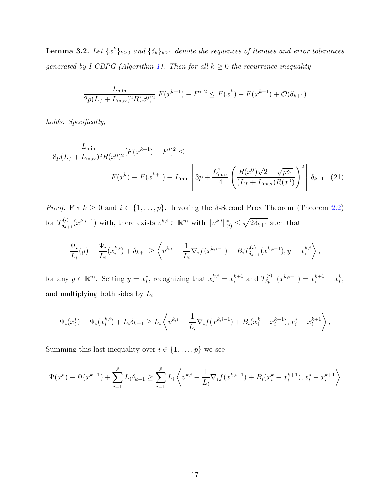<span id="page-16-0"></span>**Lemma 3.2.** Let  $\{x^k\}_{k\geq 0}$  and  $\{\delta_k\}_{k\geq 1}$  denote the sequences of iterates and error tolerances generated by I-CBPG (Algorithm [1\)](#page-13-0). Then for all  $k \geq 0$  the recurrence inequality

<span id="page-16-1"></span>
$$
\frac{L_{\min}}{2p(L_f + L_{\max})^2 R(x^0)^2} [F(x^{k+1}) - F^*]^2 \le F(x^k) - F(x^{k+1}) + \mathcal{O}(\delta_{k+1})
$$

holds. Specifically,

$$
\frac{L_{\min}}{8p(L_f + L_{\max})^2 R(x^0)^2} [F(x^{k+1}) - F^*]^2 \le
$$
\n
$$
F(x^k) - F(x^{k+1}) + L_{\min} \left[ 3p + \frac{L_{\max}^2}{4} \left( \frac{R(x^0)\sqrt{2} + \sqrt{p\delta_1}}{(L_f + L_{\max})R(x^0)} \right)^2 \right] \delta_{k+1} \quad (21)
$$

*Proof.* Fix  $k \geq 0$  and  $i \in \{1, ..., p\}$ . Invoking the  $\delta$ -Second Prox Theorem (Theorem [2.2\)](#page-6-0) for  $T^{(i)}_{\delta_{k}}$  $S_{\delta_{k+1}}(x^{k,i-1})$  with, there exists  $v^{k,i} \in \mathbb{R}^{n_i}$  with  $||v^{k,i}||_{(i)}^* \leq \sqrt{2\delta_{k+1}}$  such that

$$
\frac{\Psi_i}{L_i}(y) - \frac{\Psi_i}{L_i}(x_i^{k,i}) + \delta_{k+1} \ge \left\langle v^{k,i} - \frac{1}{L_i} \nabla_i f(x^{k,i-1}) - B_i T_{\delta_{k+1}}^{(i)}(x^{k,i-1}), y - x_i^{k,i} \right\rangle,
$$

for any  $y \in \mathbb{R}^{n_i}$ . Setting  $y = x_i^*$ , recognizing that  $x_i^{k,i} = x_i^{k+1}$  $_i^{k+1}$  and  $T_{\delta_{k+1}}^{(i)}$  $s_{k+1}^{(i)}(x^{k,i-1}) = x_i^{k+1} - x_i^k,$ and multiplying both sides by  $L_i$ 

$$
\Psi_i(x_i^*) - \Psi_i(x_i^{k,i}) + L_i \delta_{k+1} \ge L_i \left\langle v^{k,i} - \frac{1}{L_i} \nabla_i f(x^{k,i-1}) + B_i(x_i^k - x_i^{k+1}), x_i^* - x_i^{k+1} \right\rangle,
$$

Summing this last inequality over  $i \in \{1, \ldots, p\}$  we see

$$
\Psi(x^*) - \Psi(x^{k+1}) + \sum_{i=1}^p L_i \delta_{k+1} \ge \sum_{i=1}^p L_i \left\langle v^{k,i} - \frac{1}{L_i} \nabla_i f(x^{k,i-1}) + B_i(x_i^k - x_i^{k+1}), x_i^* - x_i^{k+1} \right\rangle
$$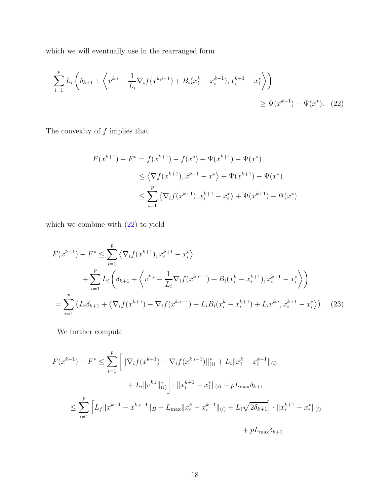which we will eventually use in the rearranged form

$$
\sum_{i=1}^{p} L_i \left( \delta_{k+1} + \left\langle v^{k,i} - \frac{1}{L_i} \nabla_i f(x^{k,i-1}) + B_i (x_i^k - x_i^{k+1}), x_i^{k+1} - x_i^* \right\rangle \right) \geq \Psi(x^{k+1}) - \Psi(x^*). \tag{22}
$$

The convexity of  $f$  implies that

<span id="page-17-0"></span>
$$
F(x^{k+1}) - F^* = f(x^{k+1}) - f(x^*) + \Psi(x^{k+1}) - \Psi(x^*)
$$
  
\n
$$
\leq \langle \nabla f(x^{k+1}), x^{k+1} - x^* \rangle + \Psi(x^{k+1}) - \Psi(x^*)
$$
  
\n
$$
\leq \sum_{i=1}^p \langle \nabla_i f(x^{k+1}), x_i^{k+1} - x_i^* \rangle + \Psi(x^{k+1}) - \Psi(x^*)
$$

which we combine with [\(22\)](#page-17-0) to yield

$$
F(x^{k+1}) - F^* \le \sum_{i=1}^p \left\langle \nabla_i f(x^{k+1}), x_i^{k+1} - x_i^* \right\rangle
$$
  
+ 
$$
\sum_{i=1}^p L_i \left( \delta_{k+1} + \left\langle v^{k,i} - \frac{1}{L_i} \nabla_i f(x^{k,i-1}) + B_i (x_i^k - x_i^{k+1}), x_i^{k+1} - x_i^* \right\rangle \right)
$$
  
= 
$$
\sum_{i=1}^p \left( L_i \delta_{k+1} + \left\langle \nabla_i f(x^{k+1}) - \nabla_i f(x^{k,i-1}) + L_i B_i (x_i^k - x_i^{k+1}) + L_i v^{k,i}, x_i^{k+1} - x_i^* \right\rangle \right).
$$
 (23)

We further compute

$$
F(x^{k+1}) - F^* \le \sum_{i=1}^p \left[ \|\nabla_i f(x^{k+1}) - \nabla_i f(x^{k,i-1})\|_{(i)}^* + L_i \|x_i^k - x_i^{k+1}\|_{(i)} \right. \\
\left. + L_i \|v^{k,i}\|_{(i)}^* \right] \cdot \|x_i^{k+1} - x_i^* \|_{(i)} + pL_{\max} \delta_{k+1} \\
\le \sum_{i=1}^p \left[ L_f \|x^{k+1} - x^{k,i-1}\|_B + L_{\max} \|x_i^k - x_i^{k+1}\|_{(i)} + L_i \sqrt{2\delta_{k+1}} \right] \cdot \|x_i^{k+1} - x_i^* \|_{(i)} \\
\quad + pL_{\max} \delta_{k+1}
$$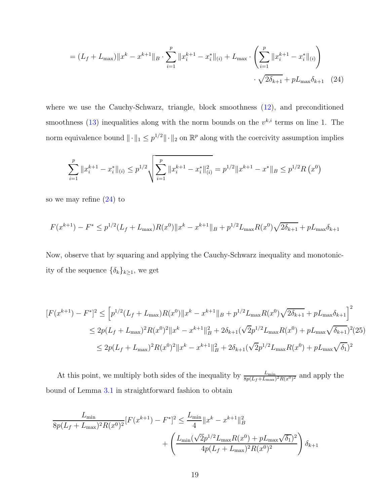<span id="page-18-0"></span>
$$
= (L_f + L_{\text{max}}) \|x^k - x^{k+1}\|_B \cdot \sum_{i=1}^p \|x_i^{k+1} - x_i^*\|_{(i)} + L_{\text{max}} \cdot \left(\sum_{i=1}^p \|x_i^{k+1} - x_i^*\|_{(i)}\right) \cdot \sqrt{2\delta_{k+1}} + pL_{\text{max}}\delta_{k+1} \quad (24)
$$

where we use the Cauchy-Schwarz, triangle, block smoothness  $(12)$ , and preconditioned smoothness [\(13\)](#page-12-1) inequalities along with the norm bounds on the  $v^{k,i}$  terms on line 1. The norm equivalence bound  $\|\cdot\|_1 \leq p^{1/2} \|\cdot\|_2$  on  $\mathbb{R}^p$  along with the coercivity assumption implies

$$
\sum_{i=1}^p \|x_i^{k+1} - x_i^*\|_{(i)} \le p^{1/2} \sqrt{\sum_{i=1}^p \|x_i^{k+1} - x_i^*\|_{(i)}^2} = p^{1/2} \|x^{k+1} - x^*\|_{B} \le p^{1/2} R(x^0)
$$

so we may refine [\(24\)](#page-18-0) to

$$
F(x^{k+1}) - F^* \le p^{1/2} (L_f + L_{\text{max}}) R(x^0) \|x^k - x^{k+1}\|_B + p^{1/2} L_{\text{max}} R(x^0) \sqrt{2\delta_{k+1}} + p L_{\text{max}} \delta_{k+1}
$$

Now, observe that by squaring and applying the Cauchy-Schwarz inequality and monotonicity of the sequence  $\{\delta_k\}_{k\geq 1}$ , we get

<span id="page-18-1"></span>
$$
[F(x^{k+1}) - F^*]^2 \le [p^{1/2}(L_f + L_{\text{max}})R(x^0)||x^k - x^{k+1}||_B + p^{1/2}L_{\text{max}}R(x^0)\sqrt{2\delta_{k+1}} + pL_{\text{max}}\delta_{k+1}]^2
$$
  
\n
$$
\le 2p(L_f + L_{\text{max}})^2R(x^0)^2||x^k - x^{k+1}||_B^2 + 2\delta_{k+1}(\sqrt{2}p^{1/2}L_{\text{max}}R(x^0) + pL_{\text{max}}\sqrt{\delta_{k+1}})^2(25)
$$
  
\n
$$
\le 2p(L_f + L_{\text{max}})^2R(x^0)^2||x^k - x^{k+1}||_B^2 + 2\delta_{k+1}(\sqrt{2}p^{1/2}L_{\text{max}}R(x^0) + pL_{\text{max}}\sqrt{\delta_1})^2
$$

At this point, we multiply both sides of the inequality by  $\frac{L_{\min}}{8p(L_f + L_{\max})^2 R(x^0)^2}$  and apply the bound of Lemma [3.1](#page-14-0) in straightforward fashion to obtain

$$
\frac{L_{\min}}{8p(L_f + L_{\max})^2 R(x^0)^2} [F(x^{k+1}) - F^*]^2 \le \frac{L_{\min}}{4} ||x^k - x^{k+1}||_B^2 + \left(\frac{L_{\min}(\sqrt{2}p^{1/2}L_{\max}R(x^0) + pL_{\max}\sqrt{\delta_1})^2}{4p(L_f + L_{\max})^2 R(x^0)^2}\right)\delta_{k+1}
$$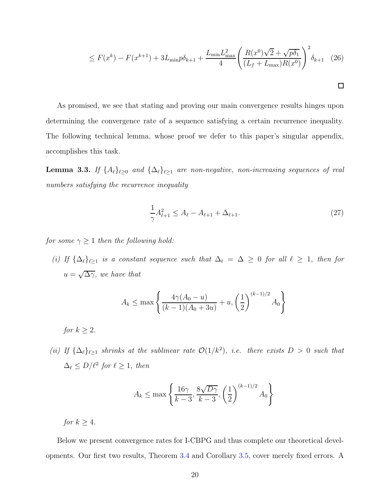$$
\leq F(x^{k}) - F(x^{k+1}) + 3L_{\min}p\delta_{k+1} + \frac{L_{\min}L_{\max}^{2}}{4} \left(\frac{R(x^{0})\sqrt{2} + \sqrt{p\delta_{1}}}{(L_{f} + L_{\max})R(x^{0})}\right)^{2} \delta_{k+1}
$$
 (26)

As promised, we see that stating and proving our main convergence results hinges upon determining the convergence rate of a sequence satisfying a certain recurrence inequality. The following technical lemma, whose proof we defer to this paper's singular appendix, accomplishes this task.

<span id="page-19-0"></span>**Lemma 3.3.** If  $\{A_\ell\}_{\ell\geq 0}$  and  $\{\Delta_\ell\}_{\ell\geq 1}$  are non-negative, non-increasing sequences of real numbers satisfying the recurrence inequality

<span id="page-19-1"></span>
$$
\frac{1}{\gamma}A_{\ell+1}^2 \le A_{\ell} - A_{\ell+1} + \Delta_{\ell+1}.\tag{27}
$$

for some  $\gamma \geq 1$  then the following hold:

(i) If  $\{\Delta_\ell\}_{\ell \geq 1}$  is a constant sequence such that  $\Delta_\ell = \Delta \geq 0$  for all  $\ell \geq 1$ , then for  $u = \sqrt{\Delta \gamma}$ , we have that

$$
A_k \le \max\left\{\frac{4\gamma(A_0 - u)}{(k-1)(A_0 + 3u)} + u, \left(\frac{1}{2}\right)^{(k-1)/2} A_0\right\}
$$

for  $k > 2$ .

(ii) If  $\{\Delta_{\ell}\}_{{\ell} \geq 1}$  shrinks at the sublinear rate  $\mathcal{O}(1/k^2)$ , i.e. there exists  $D > 0$  such that  $\Delta_{\ell} \leq D/\ell^2$  for  $\ell \geq 1$ , then

$$
A_k \le \max\left\{\frac{16\gamma}{k-3}, \frac{8\sqrt{D\gamma}}{k-3}, \left(\frac{1}{2}\right)^{(k-1)/2} A_0\right\}
$$

for  $k > 4$ .

Below we present convergence rates for I-CBPG and thus complete our theoretical developments. Our first two results, Theorem [3.4](#page-20-0) and Corollary [3.5,](#page-20-1) cover merely fixed errors. A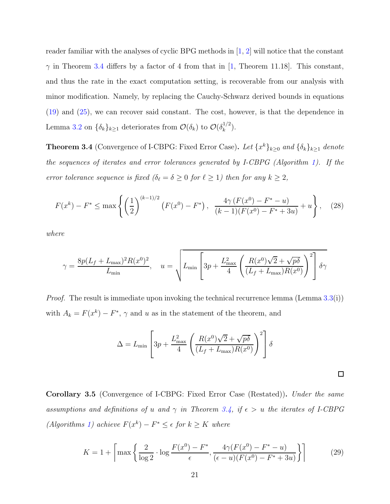reader familiar with the analyses of cyclic BPG methods in  $[1, 2]$  $[1, 2]$  will notice that the constant  $\gamma$  in Theorem [3.4](#page-20-0) differs by a factor of 4 from that in [\[1](#page-28-6), Theorem 11.18]. This constant, and thus the rate in the exact computation setting, is recoverable from our analysis with minor modification. Namely, by replacing the Cauchy-Schwarz derived bounds in equations [\(19\)](#page-15-1) and [\(25\)](#page-18-1), we can recover said constant. The cost, however, is that the dependence in Lemma [3.2](#page-16-0) on  $\{\delta_k\}_{k\geq 1}$  deteriorates from  $\mathcal{O}(\delta_k)$  to  $\mathcal{O}(\delta_k^{1/2})$  $\binom{1}{k}$ .

<span id="page-20-0"></span>**Theorem 3.4** (Convergence of I-CBPG: Fixed Error Case). Let  $\{x^k\}_{k\geq 0}$  and  $\{\delta_k\}_{k\geq 1}$  denote the sequences of iterates and error tolerances generated by I-CBPG (Algorithm [1\)](#page-13-0). If the error tolerance sequence is fixed  $(\delta_{\ell} = \delta \ge 0 \text{ for } \ell \ge 1)$  then for any  $k \ge 2$ ,

<span id="page-20-2"></span>
$$
F(x^{k}) - F^* \le \max\left\{ \left(\frac{1}{2}\right)^{(k-1)/2} \left(F(x^0) - F^*\right), \frac{4\gamma \left(F(x^0) - F^* - u\right)}{(k-1)(F(x^0) - F^* + 3u)} + u \right\}, \quad (28)
$$

where

$$
\gamma = \frac{8p(L_f + L_{\text{max}})^2 R(x^0)^2}{L_{\text{min}}}, \quad u = \sqrt{L_{\text{min}} \left[ 3p + \frac{L_{\text{max}}^2}{4} \left( \frac{R(x^0)\sqrt{2} + \sqrt{p\delta}}{(L_f + L_{\text{max}})R(x^0)} \right)^2 \right] \delta \gamma}
$$

*Proof.* The result is immediate upon invoking the technical recurrence lemma (Lemma  $3.3(i)$  $3.3(i)$ ) with  $A_k = F(x^k) - F^*$ ,  $\gamma$  and u as in the statement of the theorem, and

$$
\Delta = L_{\min} \left[ 3p + \frac{L_{\max}^2}{4} \left( \frac{R(x^0)\sqrt{2} + \sqrt{p\delta}}{(L_f + L_{\max})R(x^0)} \right)^2 \right] \delta
$$

 $\Box$ 

<span id="page-20-1"></span>Corollary 3.5 (Convergence of I-CBPG: Fixed Error Case (Restated)). Under the same assumptions and definitions of u and  $\gamma$  in Theorem [3.4,](#page-20-0) if  $\epsilon > u$  the iterates of I-CBPG (Algorithms [1\)](#page-13-0) achieve  $F(x^k) - F^* \leq \epsilon$  for  $k \geq K$  where

$$
K = 1 + \left\lceil \max\left\{ \frac{2}{\log 2} \cdot \log \frac{F(x^0) - F^*}{\epsilon}, \frac{4\gamma (F(x^0) - F^* - u)}{(\epsilon - u)(F(x^0) - F^* + 3u)} \right\} \right\rceil
$$
(29)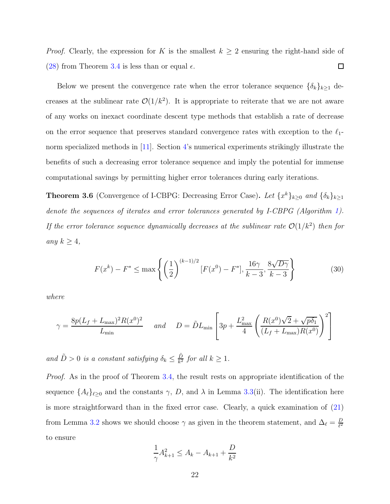*Proof.* Clearly, the expression for K is the smallest  $k \geq 2$  ensuring the right-hand side of [\(28\)](#page-20-2) from Theorem [3.4](#page-20-0) is less than or equal  $\epsilon$ .  $\Box$ 

Below we present the convergence rate when the error tolerance sequence  $\{\delta_k\}_{k\geq 1}$  decreases at the sublinear rate  $\mathcal{O}(1/k^2)$ . It is appropriate to reiterate that we are not aware of any works on inexact coordinate descent type methods that establish a rate of decrease on the error sequence that preserves standard convergence rates with exception to the  $\ell_1$ -norm specialized methods in [\[11](#page-29-6)]. Section [4'](#page-22-0)s numerical experiments strikingly illustrate the benefits of such a decreasing error tolerance sequence and imply the potential for immense computational savings by permitting higher error tolerances during early iterations.

<span id="page-21-0"></span>**Theorem 3.6** (Convergence of I-CBPG: Decreasing Error Case). Let  $\{x^k\}_{k\geq 0}$  and  $\{\delta_k\}_{k\geq 1}$ denote the sequences of iterates and error tolerances generated by I-CBPG (Algorithm [1\)](#page-13-0). If the error tolerance sequence dynamically decreases at the sublinear rate  $\mathcal{O}(1/k^2)$  then for any  $k \geq 4$ ,

<span id="page-21-1"></span>
$$
F(x^{k}) - F^{*} \le \max\left\{ \left(\frac{1}{2}\right)^{(k-1)/2} [F(x^{0}) - F^{*}], \frac{16\gamma}{k-3}, \frac{8\sqrt{D\gamma}}{k-3} \right\}
$$
(30)

where

$$
\gamma = \frac{8p(L_f + L_{\text{max}})^2 R(x^0)^2}{L_{\text{min}}} \quad \text{and} \quad D = \tilde{D}L_{\text{min}} \left[ 3p + \frac{L_{\text{max}}^2}{4} \left( \frac{R(x^0)\sqrt{2} + \sqrt{p\delta_1}}{(L_f + L_{\text{max}})R(x^0)} \right)^2 \right]
$$

and  $\tilde{D} > 0$  is a constant satisfying  $\delta_k \leq \frac{\tilde{D}}{k^2}$  $\frac{D}{k^2}$  for all  $k \geq 1$ .

Proof. As in the proof of Theorem [3.4,](#page-20-0) the result rests on appropriate identification of the sequence  $\{A_\ell\}_{\ell \geq 0}$  and the constants  $\gamma$ , D, and  $\lambda$  in Lemma [3.3\(](#page-19-0)ii). The identification here is more straightforward than in the fixed error case. Clearly, a quick examination of [\(21\)](#page-16-1) from Lemma [3.2](#page-16-0) shows we should choose  $\gamma$  as given in the theorem statement, and  $\Delta_{\ell} = \frac{D}{\ell^2}$  $\ell^2$ to ensure

$$
\frac{1}{\gamma}A_{k+1}^2 \le A_k - A_{k+1} + \frac{D}{k^2}
$$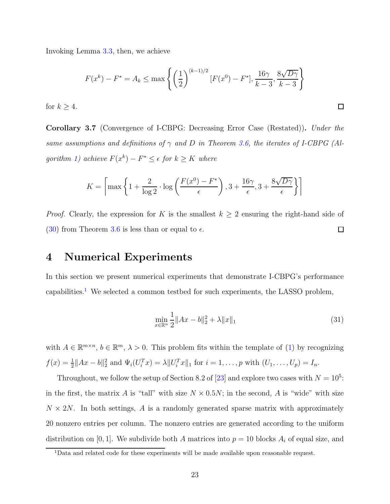Invoking Lemma [3.3,](#page-19-0) then, we achieve

$$
F(x^{k}) - F^{*} = A_{k} \le \max\left\{ \left( \frac{1}{2} \right)^{(k-1)/2} [F(x^{0}) - F^{*}], \frac{16\gamma}{k-3}, \frac{8\sqrt{D\gamma}}{k-3} \right\}
$$

for  $k \geq 4$ .

<span id="page-22-1"></span>Corollary 3.7 (Convergence of I-CBPG: Decreasing Error Case (Restated)). Under the same assumptions and definitions of  $\gamma$  and D in Theorem [3.6,](#page-21-0) the iterates of I-CBPG (Al-gorithm [1\)](#page-13-0) achieve  $F(x^k) - F^* \leq \epsilon$  for  $k \geq K$  where

$$
K = \left\lceil \max\left\{1 + \frac{2}{\log 2} \cdot \log\left(\frac{F(x^0) - F^*}{\epsilon}\right), 3 + \frac{16\gamma}{\epsilon}, 3 + \frac{8\sqrt{D\gamma}}{\epsilon} \right\} \right\rceil
$$

<span id="page-22-0"></span>*Proof.* Clearly, the expression for K is the smallest  $k \geq 2$  ensuring the right-hand side of  $\Box$ [\(30\)](#page-21-1) from Theorem [3.6](#page-21-0) is less than or equal to  $\epsilon$ .

## 4 Numerical Experiments

In this section we present numerical experiments that demonstrate I-CBPG's performance capabilities.[1](#page-22-2) We selected a common testbed for such experiments, the LASSO problem,

<span id="page-22-3"></span>
$$
\min_{x \in \mathbb{R}^n} \frac{1}{2} \|Ax - b\|_2^2 + \lambda \|x\|_1 \tag{31}
$$

 $\Box$ 

with  $A \in \mathbb{R}^{m \times n}$ ,  $b \in \mathbb{R}^m$ ,  $\lambda > 0$ . This problem fits within the template of [\(1\)](#page-1-0) by recognizing  $f(x) = \frac{1}{2} ||Ax - b||_2^2$  and  $\Psi_i(U_i^T x) = \lambda ||U_i^T x||_1$  for  $i = 1, ..., p$  with  $(U_1, ..., U_p) = I_n$ .

Throughout, we follow the setup of Section 8.2 of [\[23\]](#page-30-6) and explore two cases with  $N = 10^5$ : in the first, the matrix A is "tall" with size  $N \times 0.5N$ ; in the second, A is "wide" with size  $N \times 2N$ . In both settings, A is a randomly generated sparse matrix with approximately 20 nonzero entries per column. The nonzero entries are generated according to the uniform distribution on [0, 1]. We subdivide both A matrices into  $p = 10$  blocks  $A_i$  of equal size, and

<span id="page-22-2"></span><sup>&</sup>lt;sup>1</sup>Data and related code for these experiments will be made available upon reasonable request.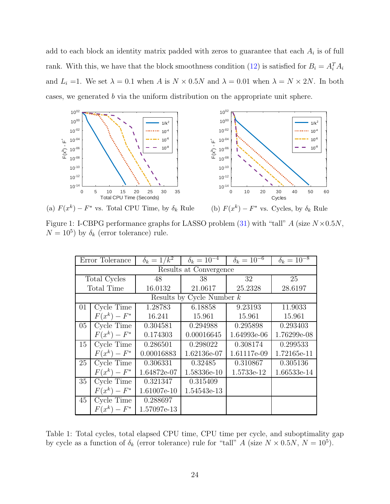add to each block an identity matrix padded with zeros to guarantee that each  $A_i$  is of full rank. With this, we have that the block smoothness condition [\(12\)](#page-12-0) is satisfied for  $B_i = A_i^T A_i$ and  $L_i = 1$ . We set  $\lambda = 0.1$  when A is  $N \times 0.5N$  and  $\lambda = 0.01$  when  $\lambda = N \times 2N$ . In both cases, we generated b via the uniform distribution on the appropriate unit sphere.

<span id="page-23-0"></span>



(a)  $F(x^k) - F^*$  vs. Total CPU Time, by  $\delta_k$  Rule

(b)  $F(x^k) - F^*$  vs. Cycles, by  $\delta_k$  Rule

<span id="page-23-1"></span>Figure 1: I-CBPG performance graphs for LASSO problem [\(31\)](#page-22-3) with "tall"  $A$  (size  $N \times 0.5N$ ,  $N = 10^5$ ) by  $\delta_k$  (error tolerance) rule.

|                             | Error Tolerance                | $\delta_k = 1/k^2$ | $\delta_k = 10^{-4}$ | $\delta_k = 10^{-6}$ | $\delta_k = 10^{-8}$ |  |  |  |
|-----------------------------|--------------------------------|--------------------|----------------------|----------------------|----------------------|--|--|--|
| Results at Convergence      |                                |                    |                      |                      |                      |  |  |  |
|                             | Total Cycles                   | 48                 | 38                   | 32                   | 25                   |  |  |  |
|                             | Total Time                     | 16.0132            | 21.0617              | 25.2328              | 28.6197              |  |  |  |
| Results by Cycle Number $k$ |                                |                    |                      |                      |                      |  |  |  |
| 01                          | Cycle Time                     | 1.28783            | 6.18858              | 9.23193              | 11.9033              |  |  |  |
|                             | $F(x^k) - F^*$                 | 16.241             | 15.961               | 15.961               | 15.961               |  |  |  |
| $05\,$                      | Cycle Time                     | 0.304581           | 0.294988             | 0.295898             | 0.293403             |  |  |  |
|                             | $F(x^k) - F^*$                 | 0.174303           | 0.00016645           | 1.64993e-06          | 1.76299e-08          |  |  |  |
| 15                          | Cycle Time                     | 0.286501           | 0.298022             | 0.308174             | 0.299533             |  |  |  |
|                             | $F(x^k) - F^*$                 | 0.00016883         | 1.62136e-07          | 1.61117e-09          | 1.72165e-11          |  |  |  |
| 25                          | $\overline{\text{Cycle}}$ Time | 0.306331           | 0.32485              | 0.310867             | 0.305136             |  |  |  |
|                             | $F(x^k) - F^*$                 | 1.64872e-07        | 1.58336e-10          | 1.5733e-12           | 1.66533e-14          |  |  |  |
| 35                          | Cycle Time                     | 0.321347           | 0.315409             |                      |                      |  |  |  |
|                             | $F(x^k) - F^*$                 | 1.61007e-10        | 1.54543e-13          |                      |                      |  |  |  |
| 45                          | Cycle Time                     | 0.288697           |                      |                      |                      |  |  |  |
|                             | $F(x^k) - F^*$                 | 1.57097e-13        |                      |                      |                      |  |  |  |

Table 1: Total cycles, total elapsed CPU time, CPU time per cycle, and suboptimality gap by cycle as a function of  $\delta_k$  (error tolerance) rule for "tall" A (size  $N \times 0.5N$ ,  $N = 10^5$ ).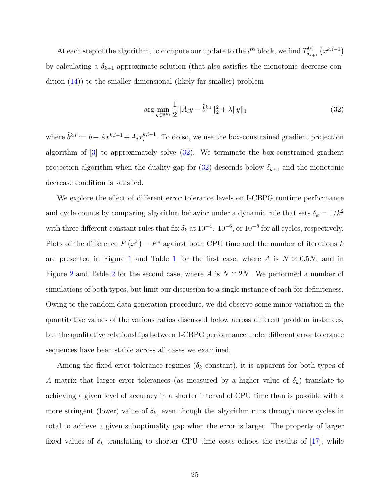At each step of the algorithm, to compute our update to the  $i^{th}$  block, we find  $T_{\delta_{k}}^{(i)}$  $\delta_{k+1}^{(i)}\left(x^{k,i-1}\right)$ by calculating a  $\delta_{k+1}$ -approximate solution (that also satisfies the monotonic decrease condition [\(14\)](#page-12-2)) to the smaller-dimensional (likely far smaller) problem

<span id="page-24-0"></span>
$$
\arg\min_{y\in\mathbb{R}^{n_i}}\frac{1}{2}||A_iy - \tilde{b}^{k,i}||_2^2 + \lambda||y||_1\tag{32}
$$

where  $\tilde{b}^{k,i} := b - Ax^{k,i-1} + A_i x_i^{k,i-1}$ . To do so, we use the box-constrained gradient projection algorithm of [\[3](#page-28-8)] to approximately solve [\(32\)](#page-24-0). We terminate the box-constrained gradient projection algorithm when the duality gap for  $(32)$  descends below  $\delta_{k+1}$  and the monotonic decrease condition is satisfied.

We explore the effect of different error tolerance levels on I-CBPG runtime performance and cycle counts by comparing algorithm behavior under a dynamic rule that sets  $\delta_k = 1/k^2$ with three different constant rules that fix  $\delta_k$  at  $10^{-4}$ .  $10^{-6}$ , or  $10^{-8}$  for all cycles, respectively. Plots of the difference  $F(x^k) - F^*$  against both CPU time and the number of iterations k are presented in Figure [1](#page-23-1) and Table 1 for the first case, where A is  $N \times 0.5N$ , and in Figure [2](#page-26-1) and Table 2 for the second case, where A is  $N \times 2N$ . We performed a number of simulations of both types, but limit our discussion to a single instance of each for definiteness. Owing to the random data generation procedure, we did observe some minor variation in the quantitative values of the various ratios discussed below across different problem instances, but the qualitative relationships between I-CBPG performance under different error tolerance sequences have been stable across all cases we examined.

Among the fixed error tolerance regimes ( $\delta_k$  constant), it is apparent for both types of A matrix that larger error tolerances (as measured by a higher value of  $\delta_k$ ) translate to achieving a given level of accuracy in a shorter interval of CPU time than is possible with a more stringent (lower) value of  $\delta_k$ , even though the algorithm runs through more cycles in total to achieve a given suboptimality gap when the error is larger. The property of larger fixed values of  $\delta_k$  translating to shorter CPU time costs echoes the results of [\[17](#page-29-0)], while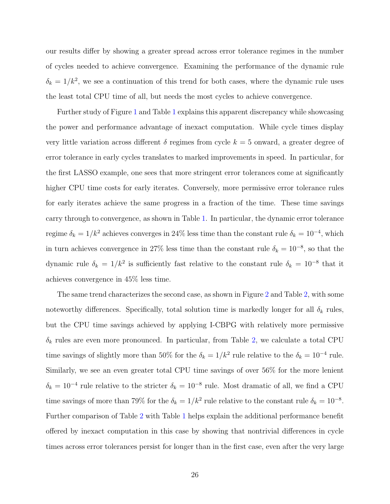our results differ by showing a greater spread across error tolerance regimes in the number of cycles needed to achieve convergence. Examining the performance of the dynamic rule  $\delta_k = 1/k^2$ , we see a continuation of this trend for both cases, where the dynamic rule uses the least total CPU time of all, but needs the most cycles to achieve convergence.

Further study of Figure [1](#page-23-0) and Table [1](#page-23-1) explains this apparent discrepancy while showcasing the power and performance advantage of inexact computation. While cycle times display very little variation across different  $\delta$  regimes from cycle  $k = 5$  onward, a greater degree of error tolerance in early cycles translates to marked improvements in speed. In particular, for the first LASSO example, one sees that more stringent error tolerances come at significantly higher CPU time costs for early iterates. Conversely, more permissive error tolerance rules for early iterates achieve the same progress in a fraction of the time. These time savings carry through to convergence, as shown in Table [1.](#page-23-1) In particular, the dynamic error tolerance regime  $\delta_k = 1/k^2$  achieves converges in 24% less time than the constant rule  $\delta_k = 10^{-4}$ , which in turn achieves convergence in 27% less time than the constant rule  $\delta_k = 10^{-8}$ , so that the dynamic rule  $\delta_k = 1/k^2$  is sufficiently fast relative to the constant rule  $\delta_k = 10^{-8}$  that it achieves convergence in 45% less time.

The same trend characterizes the second case, as shown in Figure [2](#page-26-0) and Table [2,](#page-26-1) with some noteworthy differences. Specifically, total solution time is markedly longer for all  $\delta_k$  rules, but the CPU time savings achieved by applying I-CBPG with relatively more permissive  $\delta_k$  rules are even more pronounced. In particular, from Table [2,](#page-26-1) we calculate a total CPU time savings of slightly more than 50% for the  $\delta_k = 1/k^2$  rule relative to the  $\delta_k = 10^{-4}$  rule. Similarly, we see an even greater total CPU time savings of over 56% for the more lenient  $\delta_k = 10^{-4}$  rule relative to the stricter  $\delta_k = 10^{-8}$  rule. Most dramatic of all, we find a CPU time savings of more than 79% for the  $\delta_k = 1/k^2$  rule relative to the constant rule  $\delta_k = 10^{-8}$ . Further comparison of Table [2](#page-26-1) with Table [1](#page-23-0) helps explain the additional performance benefit offered by inexact computation in this case by showing that nontrivial differences in cycle times across error tolerances persist for longer than in the first case, even after the very large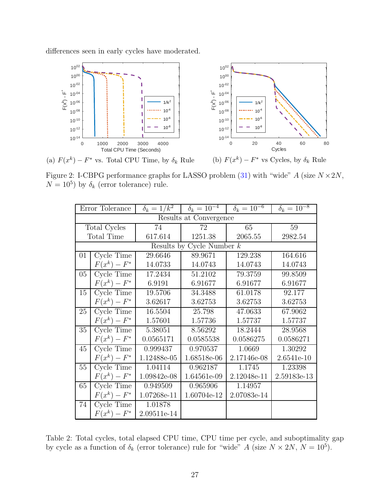<span id="page-26-0"></span>differences seen in early cycles have moderated.



(a)  $F(x^k) - F^*$  vs. Total CPU Time, by  $\delta_k$  Rule

<span id="page-26-1"></span>Figure 2: I-CBPG performance graphs for LASSO problem [\(31\)](#page-22-3) with "wide"  $A$  (size  $N \times 2N$ ,  $N = 10^5$ ) by  $\delta_k$  (error tolerance) rule.

|                             | Error Tolerance                |               | $\delta_k = 1/k^2$ $\delta_k = 10^{-4}$ $\delta_k = 10^{-6}$ |             | $\delta_k = 10^{-8}$ |  |  |
|-----------------------------|--------------------------------|---------------|--------------------------------------------------------------|-------------|----------------------|--|--|
| Results at Convergence      |                                |               |                                                              |             |                      |  |  |
| Total Cycles                |                                | 74            | 72                                                           | 65          | 59                   |  |  |
| Total Time                  |                                | 617.614       | 1251.38                                                      | 2065.55     | 2982.54              |  |  |
| Results by Cycle Number $k$ |                                |               |                                                              |             |                      |  |  |
| $01\,$                      | Cycle Time                     | 29.6646       | 89.9671                                                      | 129.238     | 164.616              |  |  |
|                             | $F(x^k) - F^*$                 | 14.0733       | 14.0743                                                      | 14.0743     | 14.0743              |  |  |
| 05                          | Cycle Time                     | 17.2434       | 51.2102                                                      | 79.3759     | 99.8509              |  |  |
|                             | $F(x^k) - F^*$                 | 6.9191        | 6.91677                                                      | 6.91677     | 6.91677              |  |  |
| 15                          | Cycle Time                     | 19.5706       | 34.3488                                                      | 61.0178     | 92.177               |  |  |
|                             | $F(x^k) - F^*$                 | 3.62617       | 3.62753                                                      | 3.62753     | 3.62753              |  |  |
| 25                          | Cycle Time                     | 16.5504       | 25.798                                                       | 47.0633     | 67.9062              |  |  |
|                             | $F(x^k) - F^*$                 | 1.57601       | 1.57736                                                      | 1.57737     | 1.57737              |  |  |
| 35                          | $\overline{\text{Cycle}}$ Time | 5.38051       | 8.56292                                                      | 18.2444     | 28.9568              |  |  |
|                             | $F(x^k) - F^*$                 | 0.0565171     | 0.0585538                                                    | 0.0586275   | 0.0586271            |  |  |
| 45                          | Cycle Time                     | 0.999437      | 0.970537                                                     | 1.0669      | 1.30292              |  |  |
|                             | $F(x^k) - F^*$                 | 1.12488e-05   | 1.68518e-06                                                  | 2.17146e-08 | 2.6541e-10           |  |  |
| 55                          | Cycle Time                     | 1.04114       | 0.962187                                                     | 1.1745      | 1.23398              |  |  |
|                             | $F(x^k) - F^*$                 | 1.09842e-08   | 1.64561e-09                                                  | 2.12048e-11 | 2.59183e-13          |  |  |
| 65                          | Cycle Time                     | 0.949509      | 0.965906                                                     | 1.14957     |                      |  |  |
|                             | $F(x^k) - F^*$                 | 1.07268e-11   | 1.60704e-12                                                  | 2.07083e-14 |                      |  |  |
| 74                          | Cycle Time                     | 1.01878       |                                                              |             |                      |  |  |
|                             | $F(x^k) - F^*$                 | $2.09511e-14$ |                                                              |             |                      |  |  |

Table 2: Total cycles, total elapsed CPU time, CPU time per cycle, and suboptimality gap by cycle as a function of  $\delta_k$  (error tolerance) rule for "wide" A (size  $N \times 2N$ ,  $N = 10^5$ ).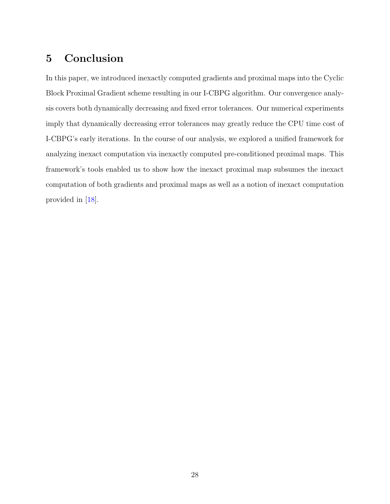## 5 Conclusion

In this paper, we introduced inexactly computed gradients and proximal maps into the Cyclic Block Proximal Gradient scheme resulting in our I-CBPG algorithm. Our convergence analysis covers both dynamically decreasing and fixed error tolerances. Our numerical experiments imply that dynamically decreasing error tolerances may greatly reduce the CPU time cost of I-CBPG's early iterations. In the course of our analysis, we explored a unified framework for analyzing inexact computation via inexactly computed pre-conditioned proximal maps. This framework's tools enabled us to show how the inexact proximal map subsumes the inexact computation of both gradients and proximal maps as well as a notion of inexact computation provided in [\[18\]](#page-29-5).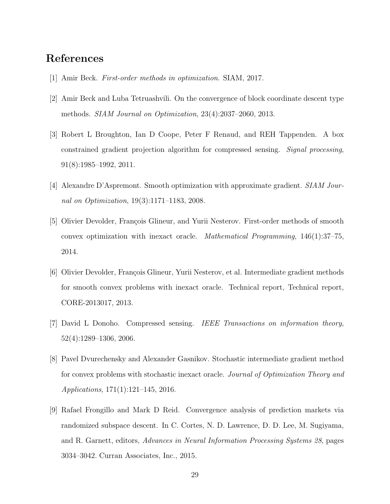## References

- <span id="page-28-6"></span>[1] Amir Beck. First-order methods in optimization. SIAM, 2017.
- <span id="page-28-1"></span>[2] Amir Beck and Luba Tetruashvili. On the convergence of block coordinate descent type methods. SIAM Journal on Optimization, 23(4):2037–2060, 2013.
- <span id="page-28-8"></span>[3] Robert L Broughton, Ian D Coope, Peter F Renaud, and REH Tappenden. A box constrained gradient projection algorithm for compressed sensing. Signal processing, 91(8):1985–1992, 2011.
- <span id="page-28-7"></span>[4] Alexandre D'Aspremont. Smooth optimization with approximate gradient. SIAM Journal on Optimization, 19(3):1171–1183, 2008.
- <span id="page-28-3"></span>[5] Olivier Devolder, François Glineur, and Yurii Nesterov. First-order methods of smooth convex optimization with inexact oracle. Mathematical Programming, 146(1):37–75, 2014.
- <span id="page-28-4"></span>[6] Olivier Devolder, François Glineur, Yurii Nesterov, et al. Intermediate gradient methods for smooth convex problems with inexact oracle. Technical report, Technical report, CORE-2013017, 2013.
- <span id="page-28-0"></span>[7] David L Donoho. Compressed sensing. IEEE Transactions on information theory, 52(4):1289–1306, 2006.
- <span id="page-28-5"></span>[8] Pavel Dvurechensky and Alexander Gasnikov. Stochastic intermediate gradient method for convex problems with stochastic inexact oracle. Journal of Optimization Theory and Applications, 171(1):121–145, 2016.
- <span id="page-28-2"></span>[9] Rafael Frongillo and Mark D Reid. Convergence analysis of prediction markets via randomized subspace descent. In C. Cortes, N. D. Lawrence, D. D. Lee, M. Sugiyama, and R. Garnett, editors, Advances in Neural Information Processing Systems 28, pages 3034–3042. Curran Associates, Inc., 2015.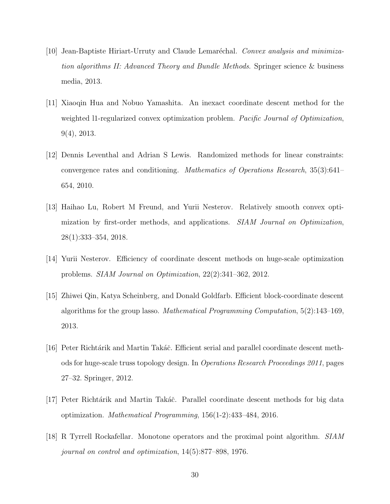- <span id="page-29-8"></span> $[10]$  Jean-Baptiste Hiriart-Urruty and Claude Lemaréchal. Convex analysis and minimization algorithms II: Advanced Theory and Bundle Methods. Springer science & business media, 2013.
- <span id="page-29-6"></span>[11] Xiaoqin Hua and Nobuo Yamashita. An inexact coordinate descent method for the weighted 11-regularized convex optimization problem. Pacific Journal of Optimization, 9(4), 2013.
- <span id="page-29-2"></span>[12] Dennis Leventhal and Adrian S Lewis. Randomized methods for linear constraints: convergence rates and conditioning. Mathematics of Operations Research, 35(3):641– 654, 2010.
- <span id="page-29-7"></span>[13] Haihao Lu, Robert M Freund, and Yurii Nesterov. Relatively smooth convex optimization by first-order methods, and applications. *SIAM Journal on Optimization*, 28(1):333–354, 2018.
- <span id="page-29-3"></span>[14] Yurii Nesterov. Efficiency of coordinate descent methods on huge-scale optimization problems. SIAM Journal on Optimization, 22(2):341–362, 2012.
- <span id="page-29-1"></span>[15] Zhiwei Qin, Katya Scheinberg, and Donald Goldfarb. Efficient block-coordinate descent algorithms for the group lasso. Mathematical Programming Computation,  $5(2)$ :143–169, 2013.
- <span id="page-29-4"></span>[16] Peter Richtárik and Martin Takáč. Efficient serial and parallel coordinate descent methods for huge-scale truss topology design. In Operations Research Proceedings 2011, pages 27–32. Springer, 2012.
- <span id="page-29-0"></span>[17] Peter Richtárik and Martin Takáč. Parallel coordinate descent methods for big data optimization. Mathematical Programming, 156(1-2):433–484, 2016.
- <span id="page-29-5"></span>[18] R Tyrrell Rockafellar. Monotone operators and the proximal point algorithm. SIAM journal on control and optimization, 14(5):877–898, 1976.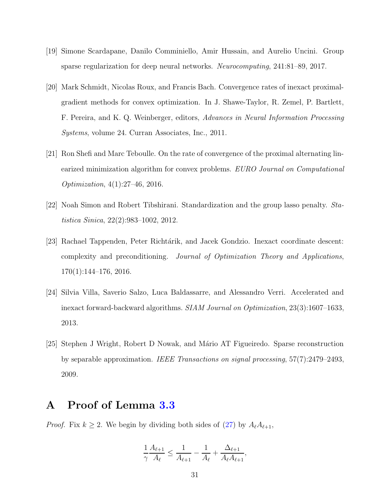- <span id="page-30-3"></span>[19] Simone Scardapane, Danilo Comminiello, Amir Hussain, and Aurelio Uncini. Group sparse regularization for deep neural networks. Neurocomputing, 241:81–89, 2017.
- <span id="page-30-0"></span>[20] Mark Schmidt, Nicolas Roux, and Francis Bach. Convergence rates of inexact proximalgradient methods for convex optimization. In J. Shawe-Taylor, R. Zemel, P. Bartlett, F. Pereira, and K. Q. Weinberger, editors, Advances in Neural Information Processing Systems, volume 24. Curran Associates, Inc., 2011.
- <span id="page-30-4"></span>[21] Ron Shefi and Marc Teboulle. On the rate of convergence of the proximal alternating linearized minimization algorithm for convex problems. EURO Journal on Computational Optimization, 4(1):27–46, 2016.
- <span id="page-30-1"></span>[22] Noah Simon and Robert Tibshirani. Standardization and the group lasso penalty. Statistica Sinica, 22(2):983–1002, 2012.
- <span id="page-30-6"></span>[23] Rachael Tappenden, Peter Richtárik, and Jacek Gondzio. Inexact coordinate descent: complexity and preconditioning. Journal of Optimization Theory and Applications, 170(1):144–176, 2016.
- <span id="page-30-5"></span>[24] Silvia Villa, Saverio Salzo, Luca Baldassarre, and Alessandro Verri. Accelerated and inexact forward-backward algorithms. SIAM Journal on Optimization, 23(3):1607–1633, 2013.
- <span id="page-30-2"></span>[25] Stephen J Wright, Robert D Nowak, and M´ario AT Figueiredo. Sparse reconstruction by separable approximation. IEEE Transactions on signal processing, 57(7):2479–2493, 2009.

## A Proof of Lemma [3.3](#page-19-0)

*Proof.* Fix  $k \geq 2$ . We begin by dividing both sides of [\(27\)](#page-19-1) by  $A_{\ell}A_{\ell+1}$ ,

$$
\frac{1}{\gamma} \frac{A_{\ell+1}}{A_{\ell}} \le \frac{1}{A_{\ell+1}} - \frac{1}{A_{\ell}} + \frac{\Delta_{\ell+1}}{A_{\ell} A_{\ell+1}},
$$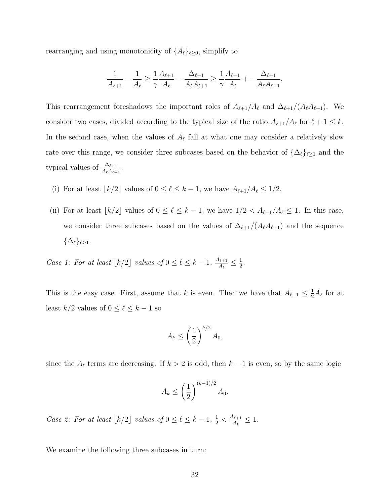rearranging and using monotonicity of  $\{A_\ell\}_{\ell \geq 0}$ , simplify to

$$
\frac{1}{A_{\ell+1}} - \frac{1}{A_{\ell}} \ge \frac{1}{\gamma} \frac{A_{\ell+1}}{A_{\ell}} - \frac{\Delta_{\ell+1}}{A_{\ell}A_{\ell+1}} \ge \frac{1}{\gamma} \frac{A_{\ell+1}}{A_{\ell}} + - \frac{\Delta_{\ell+1}}{A_{\ell}A_{\ell+1}}.
$$

This rearrangement foreshadows the important roles of  $A_{\ell+1}/A_{\ell}$  and  $\Delta_{\ell+1}/(A_{\ell}A_{\ell+1})$ . We consider two cases, divided according to the typical size of the ratio  $A_{\ell+1}/A_{\ell}$  for  $\ell+1 \leq k$ . In the second case, when the values of  $A_{\ell}$  fall at what one may consider a relatively slow rate over this range, we consider three subcases based on the behavior of  $\{\Delta_{\ell}\}_{{\ell} \geq 1}$  and the typical values of  $\frac{\Delta_{\ell+1}}{A_{\ell}A_{\ell+1}}$ .

- (i) For at least  $\lfloor k/2 \rfloor$  values of  $0 \le \ell \le k-1$ , we have  $A_{\ell+1}/A_{\ell} \le 1/2$ .
- (ii) For at least  $\lfloor k/2 \rfloor$  values of  $0 \leq \ell \leq k-1$ , we have  $1/2 < A_{\ell+1}/A_{\ell} \leq 1$ . In this case, we consider three subcases based on the values of  $\Delta_{\ell+1}/(A_{\ell}A_{\ell+1})$  and the sequence  $\{\Delta_{\ell}\}_{{\ell}>1}.$

Case 1: For at least  $\lfloor k/2 \rfloor$  values of  $0 \leq \ell \leq k-1$ ,  $\frac{A_{\ell+1}}{A_{\ell}}$  $\frac{\Lambda_{\ell+1}}{A_\ell}\leq \frac{1}{2}$  $\frac{1}{2}$ .

This is the easy case. First, assume that k is even. Then we have that  $A_{\ell+1} \leq \frac{1}{2}A_{\ell}$  for at least  $k/2$  values of  $0 \leq \ell \leq k-1$  so

$$
A_k \le \left(\frac{1}{2}\right)^{k/2} A_0,
$$

since the  $A_{\ell}$  terms are decreasing. If  $k > 2$  is odd, then  $k - 1$  is even, so by the same logic

$$
A_k \le \left(\frac{1}{2}\right)^{(k-1)/2} A_0.
$$

Case 2: For at least  $\lfloor k/2 \rfloor$  values of  $0 \leq \ell \leq k-1, \frac{1}{2} < \frac{A_{\ell+1}}{A_{\ell}}$  $\frac{\log_{1}{\ell+1}}{A_{\ell}} \leq 1.$ 

We examine the following three subcases in turn: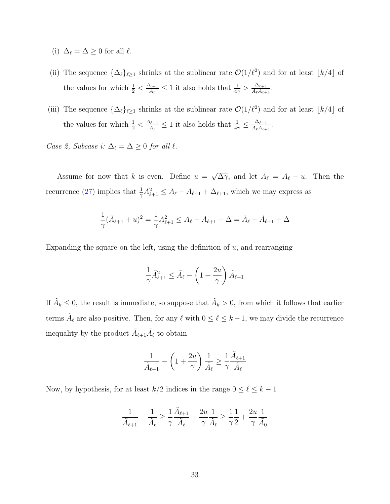- (i)  $\Delta_{\ell} = \Delta \geq 0$  for all  $\ell$ .
- (ii) The sequence  $\{\Delta_\ell\}_{\ell \geq 1}$  shrinks at the sublinear rate  $\mathcal{O}(1/\ell^2)$  and for at least  $\lfloor k/4 \rfloor$  of the values for which  $\frac{1}{2} < \frac{A_{\ell+1}}{A_{\ell}}$  $\frac{\Delta_{\ell+1}}{A_{\ell}} \leq 1$  it also holds that  $\frac{1}{4\gamma} > \frac{\Delta_{\ell+1}}{A_{\ell}A_{\ell+1}}$  $\frac{\Delta_{\ell+1}}{A_{\ell}A_{\ell+1}}$ .
- (iii) The sequence  $\{\Delta_{\ell}\}_{{\ell} \geq 1}$  shrinks at the sublinear rate  $\mathcal{O}(1/\ell^2)$  and for at least  $\lfloor k/4 \rfloor$  of the values for which  $\frac{1}{2} < \frac{A_{\ell+1}}{A_{\ell}}$  $\frac{\Delta_{\ell+1}}{A_{\ell}} \leq 1$  it also holds that  $\frac{1}{4\gamma} \leq \frac{\Delta_{\ell+1}}{A_{\ell}A_{\ell+1}}$  $\frac{\Delta_{\ell+1}}{A_{\ell}A_{\ell+1}}$ .

Case 2, Subcase i:  $\Delta_{\ell} = \Delta \geq 0$  for all  $\ell$ .

Assume for now that k is even. Define  $u = \sqrt{\Delta \gamma}$ , and let  $\tilde{A}_{\ell} = A_{\ell} - u$ . Then the recurrence [\(27\)](#page-19-1) implies that  $\frac{1}{\gamma} A_{\ell+1}^2 \leq A_{\ell} - A_{\ell+1} + \Delta_{\ell+1}$ , which we may express as

$$
\frac{1}{\gamma}(\tilde{A}_{\ell+1} + u)^2 = \frac{1}{\gamma}A_{\ell+1}^2 \le A_{\ell} - A_{\ell+1} + \Delta = \tilde{A}_{\ell} - \tilde{A}_{\ell+1} + \Delta
$$

Expanding the square on the left, using the definition of  $u$ , and rearranging

$$
\frac{1}{\gamma}\tilde{A}_{\ell+1}^2 \le \tilde{A}_{\ell} - \left(1 + \frac{2u}{\gamma}\right)\tilde{A}_{\ell+1}
$$

If  $\tilde{A}_k \leq 0$ , the result is immediate, so suppose that  $\tilde{A}_k > 0$ , from which it follows that earlier terms  $\tilde{A}_{\ell}$  are also positive. Then, for any  $\ell$  with  $0 \leq \ell \leq k-1$ , we may divide the recurrence inequality by the product  $\tilde{A}_{\ell+1}\tilde{A}_{\ell}$  to obtain

$$
\frac{1}{\tilde{A}_{\ell+1}} - \left(1 + \frac{2u}{\gamma}\right)\frac{1}{\tilde{A}_{\ell}} \ge \frac{1}{\gamma}\frac{\tilde{A}_{\ell+1}}{\tilde{A}_{\ell}}
$$

Now, by hypothesis, for at least  $k/2$  indices in the range  $0 \leq \ell \leq k-1$ 

$$
\frac{1}{\tilde{A}_{\ell+1}}-\frac{1}{\tilde{A}_\ell}\geq \frac{1}{\gamma}\frac{\tilde{A}_{\ell+1}}{\tilde{A}_\ell}+\frac{2u}{\gamma}\frac{1}{\tilde{A}_\ell}\geq \frac{1}{\gamma}\frac{1}{2}+\frac{2u}{\gamma}\frac{1}{\tilde{A}_0}
$$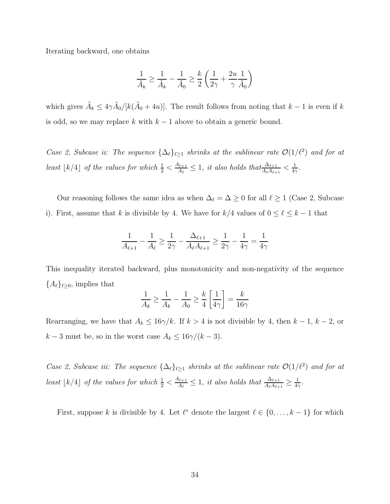Iterating backward, one obtains

$$
\frac{1}{\tilde{A}_k} \geq \frac{1}{\tilde{A}_k} - \frac{1}{\tilde{A}_0} \geq \frac{k}{2} \left( \frac{1}{2\gamma} + \frac{2u}{\gamma} \frac{1}{\tilde{A}_0} \right)
$$

which gives  $\tilde{A}_k \leq 4\gamma \tilde{A}_0/[k(\tilde{A}_0+4u)]$ . The result follows from noting that  $k-1$  is even if k is odd, so we may replace k with  $k - 1$  above to obtain a generic bound.

Case 2, Subcase ii: The sequence  $\{\Delta_{\ell}\}_{{\ell} \geq 1}$  shrinks at the sublinear rate  $\mathcal{O}(1/\ell^2)$  and for at least  $\lfloor k/4 \rfloor$  of the values for which  $\frac{1}{2} < \frac{A_{\ell+1}}{A_{\ell}}$  $\frac{\Delta_{\ell+1}}{A_{\ell}} \leq 1$ , it also holds that $\frac{\Delta_{\ell+1}}{A_{\ell}A_{\ell+1}} < \frac{1}{4\epsilon}$  $\frac{1}{4\gamma}$  .

Our reasoning follows the same idea as when  $\Delta_{\ell} = \Delta \geq 0$  for all  $\ell \geq 1$  (Case 2, Subcase i). First, assume that k is divisible by 4. We have for  $k/4$  values of  $0 \le \ell \le k-1$  that

$$
\frac{1}{A_{\ell+1}}-\frac{1}{A_\ell}\geq \frac{1}{2\gamma}-\frac{\Delta_{\ell+1}}{A_\ell A_{\ell+1}}\geq \frac{1}{2\gamma}-\frac{1}{4\gamma}=\frac{1}{4\gamma}
$$

This inequality iterated backward, plus monotonicity and non-negativity of the sequence  ${A_{\ell}}_{\geq 0}$ , implies that

$$
\frac{1}{A_k} \ge \frac{1}{A_k} - \frac{1}{A_0} \ge \frac{k}{4} \left[ \frac{1}{4\gamma} \right] = \frac{k}{16\gamma}
$$

Rearranging, we have that  $A_k \leq 16\gamma/k$ . If  $k > 4$  is not divisible by 4, then  $k - 1$ ,  $k - 2$ , or  $k-3$  must be, so in the worst case  $A_k \leq 16\gamma/(k-3)$ .

Case 2, Subcase iii: The sequence  $\{\Delta_{\ell}\}_{{\ell} \geq 1}$  shrinks at the sublinear rate  $\mathcal{O}(1/\ell^2)$  and for at least  $\lfloor k/4 \rfloor$  of the values for which  $\frac{1}{2} < \frac{A_{\ell+1}}{A_{\ell}}$  $\frac{\Delta_{\ell+1}}{A_{\ell}} \leq 1$ , it also holds that  $\frac{\Delta_{\ell+1}}{A_{\ell}A_{\ell+1}} \geq \frac{1}{44}$  $\frac{1}{4\gamma}$  .

First, suppose k is divisible by 4. Let  $\ell^*$  denote the largest  $\ell \in \{0, \ldots, k-1\}$  for which